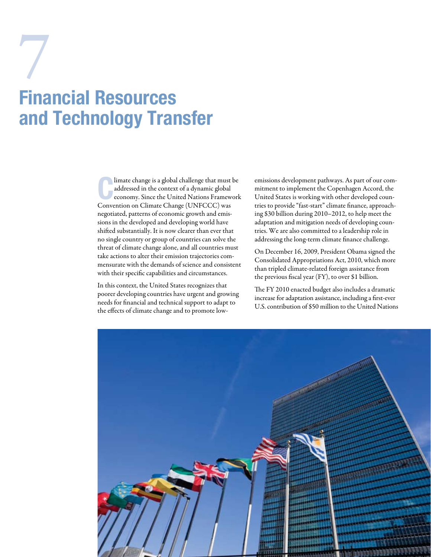# Financial Resources and Technology Transfer 7<br>Eine

C limate change is a global challenge that must be addressed in the context of a dynamic global economy. Since the United Nations Framework Convention on Climate Change (UNFCCC) was negotiated, patterns of economic growth and emissions in the developed and developing world have shifted substantially. It is now clearer than ever that no single country or group of countries can solve the threat of climate change alone, and all countries must take actions to alter their emission trajectories commensurate with the demands of science and consistent with their specific capabilities and circumstances.

In this context, the United States recognizes that poorer developing countries have urgent and growing needs for financial and technical support to adapt to the effects of climate change and to promote lowemissions development pathways. As part of our commitment to implement the Copenhagen Accord, the United States is working with other developed countries to provide "fast-start" climate finance, approaching \$30 billion during 2010–2012, to help meet the adaptation and mitigation needs of developing countries. We are also committed to a leadership role in addressing the long-term climate finance challenge.

On December 16, 2009, President Obama signed the Consolidated Appropriations Act, 2010, which more than tripled climate-related foreign assistance from the previous fiscal year (FY), to over \$1 billion.

The FY 2010 enacted budget also includes a dramatic increase for adaptation assistance, including a first-ever U.S. contribution of \$50 million to the United Nations

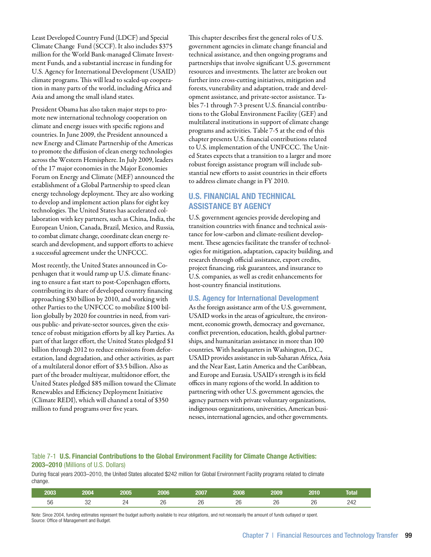Least Developed Country Fund (LDCF) and Special Climate Change Fund (SCCF). It also includes \$375 million for the World Bank-managed Climate Investment Funds, and a substantial increase in funding for U.S. Agency for International Development (USAID) climate programs. This will lead to scaled-up cooperation in many parts of the world, including Africa and Asia and among the small island states.

President Obama has also taken major steps to promote new international technology cooperation on climate and energy issues with specific regions and countries. In June 2009, the President announced a new Energy and Climate Partnership of the Americas to promote the diffusion of clean energy technologies across the Western Hemisphere. In July 2009, leaders of the 17 major economies in the Major Economies Forum on Energy and Climate (MEF) announced the establishment of a Global Partnership to speed clean energy technology deployment. They are also working to develop and implement action plans for eight key technologies. The United States has accelerated collaboration with key partners, such as China, India, the European Union, Canada, Brazil, Mexico, and Russia, to combat climate change, coordinate clean energy research and development, and support efforts to achieve a successful agreement under the UNFCCC.

Most recently, the United States announced in Copenhagen that it would ramp up U.S. climate financing to ensure a fast start to post-Copenhagen efforts, contributing its share of developed country financing approaching \$30 billion by 2010, and working with other Parties to the UNFCCC to mobilize \$100 billion globally by 2020 for countries in need, from various public- and private-sector sources, given the existence of robust mitigation efforts by all key Parties. As part of that larger effort, the United States pledged \$1 billion through 2012 to reduce emissions from deforestation, land degradation, and other activities, as part of a multilateral donor effort of \$3.5 billion. Also as part of the broader multiyear, multidonor effort, the United States pledged \$85 million toward the Climate Renewables and Efficiency Deployment Initiative (Climate REDI), which will channel a total of \$350 million to fund programs over five years.

This chapter describes first the general roles of U.S. government agencies in climate change financial and technical assistance, and then ongoing programs and partnerships that involve significant U.S. government resources and investments. The latter are broken out further into cross-cutting initiatives, mitigation and forests, vunerability and adaptation, trade and development assistance, and private-sector assistance. Tables 7-1 through 7-3 present U.S. financial contributions to the Global Environment Facility (GEF) and multilateral institutions in support of climate change programs and activities. Table 7-5 at the end of this chapter presents U.S. financial contributions related to U.S. implementation of the UNFCCC. The United States expects that a transition to a larger and more robust foreign assistance program will include substantial new efforts to assist countries in their efforts to address climate change in FY 2010.

# U.S. Financial and Technical Assistance by agency

U.S. government agencies provide developing and transition countries with finance and technical assistance for low-carbon and climate-resilient development. These agencies facilitate the transfer of technologies for mitigation, adaptation, capacity building, and research through official assistance, export credits, project financing, risk guarantees, and insurance to U.S. companies, as well as credit enhancements for host-country financial institutions.

## U.S. Agency for International Development

As the foreign assistance arm of the U.S. government, USAID works in the areas of agriculture, the environment, economic growth, democracy and governance, conflict prevention, education, health, global partnerships, and humanitarian assistance in more than 100 countries. With headquarters in Washington, D.C., USAID provides assistance in sub-Saharan Africa, Asia and the Near East, Latin America and the Caribbean, and Europe and Eurasia. USAID's strength is its field offices in many regions of the world. In addition to partnering with other U.S. government agencies, the agency partners with private voluntary organizations, indigenous organizations, universities, American businesses, international agencies, and other governments.

## Table 7-1 U.S. Financial Contributions to the Global Environment Facility for Climate Change Activities: 2003–2010 (Millions of U.S. Dollars)

During fiscal years 2003–2010, the United States allocated \$242 million for Global Environment Facility programs related to climate change.

| - - - -<br>2003 | 2004         | 2005          | 2006            | 200                   | 2008                  | 2009          | ___<br>2010 | lotal                   |
|-----------------|--------------|---------------|-----------------|-----------------------|-----------------------|---------------|-------------|-------------------------|
| $\Gamma$<br>ჂႩ  | $\sim$<br>ےں | ⌒<br><u>_</u> | $\Omega$<br>້∟∪ | $\Omega$<br>2 U<br>__ | nc<br><u>Lv</u><br>__ | nc<br>∼<br>__ | nr<br>__    | 010<br>$^{\prime}$<br>ᅩ |

Note: Since 2004, funding estimates represent the budget authority available to incur obligations, and not necessarily the amount of funds outlayed or spent. Source: Office of Management and Budget.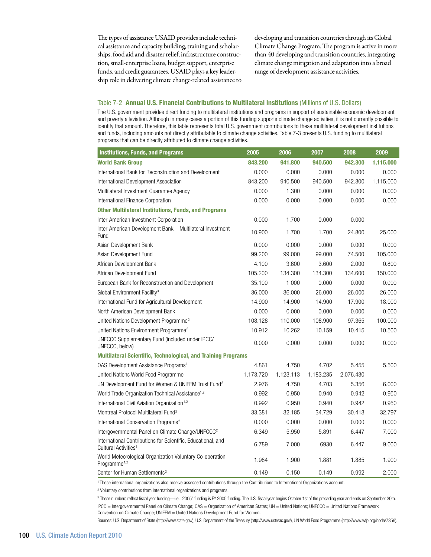The types of assistance USAID provides include technical assistance and capacity building, training and scholarships, food aid and disaster relief, infrastructure construction, small-enterprise loans, budget support, enterprise funds, and credit guarantees. USAID plays a key leadership role in delivering climate change-related assistance to developing and transition countries through its Global Climate Change Program. The program is active in more than 40 developing and transition countries, integrating climate change mitigation and adaptation into a broad range of development assistance activities.

#### Table 7-2 **Annual U.S. Financial Contributions to Multilateral Institutions** (Millions of U.S. Dollars)

The U.S. government provides direct funding to multilateral institutions and programs in support of sustainable economic development and poverty alleviation. Although in many cases a portion of this funding supports climate change activities, it is not currently possible to identify that amount. Therefore, this table represents total U.S. government contributions to these multilateral development institutions and funds, including amounts not directly attributable to climate change activities. Table 7-3 presents U.S. funding to multilateral programs that can be directly attributed to climate change activities.

| <b>Institutions, Funds, and Programs</b>                                                         | 2005      | 2006      | 2007      | 2008      | 2009      |
|--------------------------------------------------------------------------------------------------|-----------|-----------|-----------|-----------|-----------|
| <b>World Bank Group</b>                                                                          | 843,200   | 941.800   | 940,500   | 942,300   | 1,115.000 |
| International Bank for Reconstruction and Development                                            | 0.000     | 0.000     | 0.000     | 0.000     | 0.000     |
| International Development Association                                                            | 843.200   | 940.500   | 940.500   | 942.300   | 1,115.000 |
| Multilateral Investment Guarantee Agency                                                         | 0.000     | 1.300     | 0.000     | 0.000     | 0.000     |
| International Finance Corporation                                                                | 0.000     | 0.000     | 0.000     | 0.000     | 0.000     |
| <b>Other Multilateral Institutions, Funds, and Programs</b>                                      |           |           |           |           |           |
| Inter-American Investment Corporation                                                            | 0.000     | 1.700     | 0.000     | 0.000     |           |
| Inter-American Development Bank - Multilateral Investment<br>Fund                                | 10.900    | 1.700     | 1.700     | 24.800    | 25.000    |
| Asian Development Bank                                                                           | 0.000     | 0.000     | 0.000     | 0.000     | 0.000     |
| Asian Development Fund                                                                           | 99.200    | 99.000    | 99.000    | 74.500    | 105.000   |
| African Development Bank                                                                         | 4.100     | 3.600     | 3.600     | 2.000     | 0.800     |
| African Development Fund                                                                         | 105.200   | 134.300   | 134.300   | 134.600   | 150.000   |
| European Bank for Reconstruction and Development                                                 | 35.100    | 1.000     | 0.000     | 0.000     | 0.000     |
| Global Environment Facility <sup>3</sup>                                                         | 36.000    | 36.000    | 26.000    | 26.000    | 26.000    |
| International Fund for Agricultural Development                                                  | 14.900    | 14.900    | 14.900    | 17.900    | 18.000    |
| North American Development Bank                                                                  | 0.000     | 0.000     | 0.000     | 0.000     | 0.000     |
| United Nations Development Programme <sup>2</sup>                                                | 108.128   | 110.000   | 108.900   | 97.365    | 100.000   |
| United Nations Environment Programme <sup>2</sup>                                                | 10.912    | 10.262    | 10.159    | 10.415    | 10.500    |
| UNFCCC Supplementary Fund (included under IPCC/<br>UNFCCC, below)                                | 0.000     | 0.000     | 0.000     | 0.000     | 0.000     |
| <b>Multilateral Scientific, Technological, and Training Programs</b>                             |           |           |           |           |           |
| OAS Development Assistance Programs <sup>1</sup>                                                 | 4.861     | 4.750     | 4.702     | 5.455     | 5.500     |
| United Nations World Food Programme                                                              | 1,173.720 | 1,123.113 | 1,183.235 | 2,076.430 |           |
| UN Development Fund for Women & UNIFEM Trust Fund <sup>2</sup>                                   | 2.976     | 4.750     | 4.703     | 5.356     | 6.000     |
| World Trade Organization Technical Assistance <sup>1,2</sup>                                     | 0.992     | 0.950     | 0.940     | 0.942     | 0.950     |
| International Civil Aviation Organization <sup>1,2</sup>                                         | 0.992     | 0.950     | 0.940     | 0.942     | 0.950     |
| Montreal Protocol Multilateral Fund <sup>2</sup>                                                 | 33.381    | 32.185    | 34.729    | 30.413    | 32.797    |
| International Conservation Programs <sup>2</sup>                                                 | 0.000     | 0.000     | 0.000     | 0.000     | 0.000     |
| Intergovernmental Panel on Climate Change/UNFCCC <sup>2</sup>                                    | 6.349     | 5.950     | 5.891     | 6.447     | 7.000     |
| International Contributions for Scientific, Educational, and<br>Cultural Activities <sup>1</sup> | 6.789     | 7.000     | 6930      | 6.447     | 9.000     |
| World Meteorological Organization Voluntary Co-operation<br>Programme <sup>1,2</sup>             | 1.984     | 1.900     | 1.881     | 1.885     | 1.900     |
| Center for Human Settlements <sup>2</sup>                                                        | 0.149     | 0.150     | 0.149     | 0.992     | 2.000     |

1 These international organizations also receive assessed contributions through the Contributions to International Organizations account.

2 Voluntary contributions from International organizations and programs.

3 These numbers reflect fiscal year funding—i.e. "2005" funding is FY 2005 funding. The U.S. fiscal year begins October 1st of the preceding year and ends on September 30th. IPCC = Intergovernmental Panel on Climate Change; OAS = Organization of American States; UN = United Nations; UNFCCC = United Nations Framework Convention on Climate Change; UNIFEM = United Nations Development Fund for Women.

Sources: U.S. Department of State (http://www.state.gov/), U.S. Department of the Treasury (http://www.ustreas.gov/), UN World Food Programme (http://www.wfp.org/node/7359).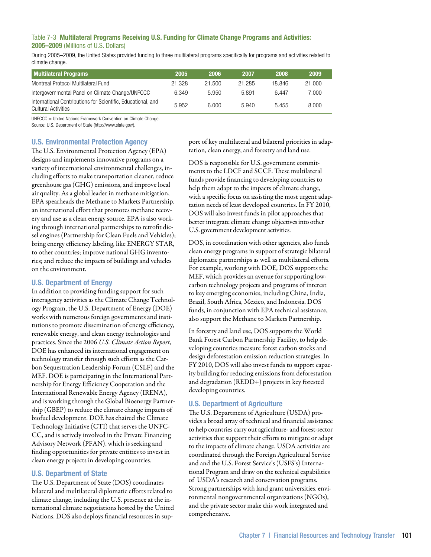#### Table 7-3 Multilateral Programs Receiving U.S. Funding for Climate Change Programs and Activities: 2005–2009 (Millions of U.S. Dollars)

During 2005–2009, the United States provided funding to three multilateral programs specifically for programs and activities related to climate change.

| <b>Multilateral Programs</b>                                                               | 2005   | 2006   | 2007   | 2008   | 2009   |  |
|--------------------------------------------------------------------------------------------|--------|--------|--------|--------|--------|--|
| Montreal Protocol Multilateral Fund                                                        | 21.328 | 21.500 | 21.285 | 18.846 | 21.000 |  |
| Intergovernmental Panel on Climate Change/UNFCCC                                           | 6.349  | 5.950  | 5.891  | 6.447  | 7.000  |  |
| International Contributions for Scientific. Educational, and<br><b>Cultural Activities</b> | 5.952  | 6.000  | 5.940  | 5.455  | 8.000  |  |

UNFCCC = United Nations Framework Convention on Climate Change.

Source: U.S. Department of State (http://www.state.gov/).

## U.S. Environmental Protection Agency

The U.S. Environmental Protection Agency (EPA) designs and implements innovative programs on a variety of international environmental challenges, including efforts to make transportation cleaner, reduce greenhouse gas (GHG) emissions, and improve local air quality. As a global leader in methane mitigation, EPA spearheads the Methane to Markets Partnership, an international effort that promotes methane recovery and use as a clean energy source. EPA is also working through international partnerships to retrofit diesel engines (Partnership for Clean Fuels and Vehicles); bring energy efficiency labeling, like ENERGY STAR, to other countries; improve national GHG inventories; and reduce the impacts of buildings and vehicles on the environment.

## U.S. Department of Energy

In addition to providing funding support for such interagency activities as the Climate Change Technology Program, the U.S. Department of Energy (DOE) works with numerous foreign governments and institutions to promote dissemination of energy efficiency, renewable energy, and clean energy technologies and practices. Since the 2006 *U.S. Climate Action Report*, DOE has enhanced its international engagement on technology transfer through such efforts as the Carbon Sequestration Leadership Forum (CSLF) and the MEF. DOE is participating in the International Partnership for Energy Efficiency Cooperation and the International Renewable Energy Agency (IRENA), and is working through the Global Bioenergy Partnership (GBEP) to reduce the climate change impacts of biofuel development. DOE has chaired the Climate Technology Initiative (CTI) that serves the UNFC-CC, and is actively involved in the Private Financing Advisory Network (PFAN), which is seeking and finding opportunities for private entities to invest in clean energy projects in developing countries.

## U.S. Department of State

The U.S. Department of State (DOS) coordinates bilateral and multilateral diplomatic efforts related to climate change, including the U.S. presence at the international climate negotiations hosted by the United Nations. DOS also deploys financial resources in support of key multilateral and bilateral priorities in adaptation, clean energy, and forestry and land use.

DOS is responsible for U.S. government commitments to the LDCF and SCCF. These multilateral funds provide financing to developing countries to help them adapt to the impacts of climate change, with a specific focus on assisting the most urgent adaptation needs of least developed countries. In FY 2010, DOS will also invest funds in pilot approaches that better integrate climate change objectives into other U.S. government development activities.

DOS, in coordination with other agencies, also funds clean energy programs in support of strategic bilateral diplomatic partnerships as well as multilateral efforts. For example, working with DOE, DOS supports the MEF, which provides an avenue for supporting lowcarbon technology projects and programs of interest to key emerging economies, including China, India, Brazil, South Africa, Mexico, and Indonesia. DOS funds, in conjunction with EPA technical assistance, also support the Methane to Markets Partnership.

In forestry and land use, DOS supports the World Bank Forest Carbon Partnership Facility, to help developing countries measure forest carbon stocks and design deforestation emission reduction strategies. In FY 2010, DOS will also invest funds to support capacity building for reducing emissions from deforestation and degradation (REDD+) projects in key forested developing countries.

## U.S. Department of Agriculture

The U.S. Department of Agriculture (USDA) provides a broad array of technical and financial assistance to help countries carry out agriculture- and forest-sector activities that support their efforts to mitigate or adapt to the impacts of climate change. USDA activities are coordinated through the Foreign Agricultural Service and and the U.S. Forest Service's (USFS's) International Program and draw on the technical capabilities of USDA's research and conservation programs. Strong partnerships with land grant universities, environmental nongovernmental organizations (NGOs), and the private sector make this work integrated and comprehensive.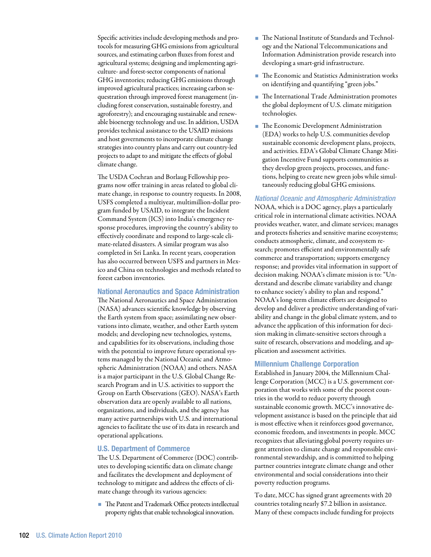Specific activities include developing methods and protocols for measuring GHG emissions from agricultural sources, and estimating carbon fluxes from forest and agricultural systems; designing and implementing agriculture- and forest-sector components of national GHG inventories; reducing GHG emissions through improved agricultural practices; increasing carbon sequestration through improved forest management (including forest conservation, sustainable forestry, and agroforestry); and encouraging sustainable and renewable bioenergy technology and use. In addition, USDA provides technical assistance to the USAID missions and host governments to incorporate climate change strategies into country plans and carry out country-led projects to adapt to and mitigate the effects of global climate change.

The USDA Cochran and Borlaug Fellowship programs now offer training in areas related to global climate change, in response to country requests. In 2008, USFS completed a multiyear, multimillion-dollar program funded by USAID, to integrate the Incident Command System (ICS) into India's emergency response procedures, improving the country's ability to effectively coordinate and respond to large-scale climate-related disasters. A similar program was also completed in Sri Lanka. In recent years, cooperation has also occurred between USFS and partners in Mexico and China on technologies and methods related to forest carbon inventories.

#### National Aeronautics and Space Administration

The National Aeronautics and Space Administration (NASA) advances scientific knowledge by observing the Earth system from space; assimilating new observations into climate, weather, and other Earth system models; and developing new technologies, systems, and capabilities for its observations, including those with the potential to improve future operational systems managed by the National Oceanic and Atmospheric Administration (NOAA) and others. NASA is a major participant in the U.S. Global Change Research Program and in U.S. activities to support the Group on Earth Observations (GEO). NASA's Earth observation data are openly available to all nations, organizations, and individuals, and the agency has many active partnerships with U.S. and international agencies to facilitate the use of its data in research and operational applications.

#### U.S. Department of Commerce

The U.S. Department of Commerce (DOC) contributes to developing scientific data on climate change and facilitates the development and deployment of technology to mitigate and address the effects of climate change through its various agencies:

■ The Patent and Trademark Office protects intellectual property rights that enable technological innovation.

- The National Institute of Standards and Technology and the National Telecommunications and Information Administration provide research into developing a smart-grid infrastructure.
- The Economic and Statistics Administration works on identifying and quantifying "green jobs."
- The International Trade Administration promotes the global deployment of U.S. climate mitigation technologies.
- The Economic Development Administration (EDA) works to help U.S. communities develop sustainable economic development plans, projects, and activities. EDA's Global Climate Change Mitigation Incentive Fund supports communities as they develop green projects, processes, and functions, helping to create new green jobs while simultaneously reducing global GHG emissions.

#### *National Oceanic and Atmospheric Administration*

NOAA, which is a DOC agency, plays a particularly critical role in international climate activities. NOAA provides weather, water, and climate services; manages and protects fisheries and sensitive marine ecosystems; conducts atmospheric, climate, and ecosystem research; promotes efficient and environmentally safe commerce and transportation; supports emergency response; and provides vital information in support of decision making. NOAA's climate mission is to: "Understand and describe climate variability and change to enhance society's ability to plan and respond." NOAA's long-term climate efforts are designed to develop and deliver a predictive understanding of variability and change in the global climate system, and to advance the application of this information for decision making in climate-sensitive sectors through a suite of research, observations and modeling, and application and assessment activities.

#### Millennium Challenge Corporation

Established in January 2004, the Millennium Challenge Corporation (MCC) is a U.S. government corporation that works with some of the poorest countries in the world to reduce poverty through sustainable economic growth. MCC's innovative development assistance is based on the principle that aid is most effective when it reinforces good governance, economic freedom, and investments in people. MCC recognizes that alleviating global poverty requires urgent attention to climate change and responsible environmental stewardship, and is committed to helping partner countries integrate climate change and other environmental and social considerations into their poverty reduction programs.

To date, MCC has signed grant agreements with 20 countries totaling nearly \$7.2 billion in assistance. Many of these compacts include funding for projects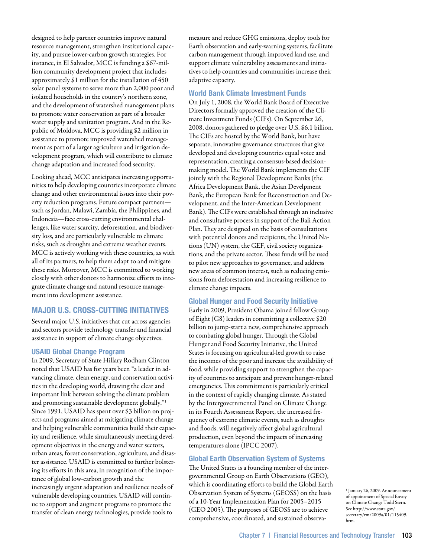designed to help partner countries improve natural resource management, strengthen institutional capacity, and pursue lower-carbon growth strategies. For instance, in El Salvador, MCC is funding a \$67-million community development project that includes approximately \$1 million for the installation of 450 solar panel systems to serve more than 2,000 poor and isolated households in the country's northern zone, and the development of watershed management plans to promote water conservation as part of a broader water supply and sanitation program. And in the Republic of Moldova, MCC is providing \$2 million in assistance to promote improved watershed management as part of a larger agriculture and irrigation development program, which will contribute to climate change adaptation and increased food security.

Looking ahead, MCC anticipates increasing opportunities to help developing countries incorporate climate change and other environmental issues into their poverty reduction programs. Future compact partners such as Jordan, Malawi, Zambia, the Philippines, and Indonesia—face cross-cutting environmental challenges, like water scarcity, deforestation, and biodiversity loss, and are particularly vulnerable to climate risks, such as droughts and extreme weather events. MCC is actively working with these countries, as with all of its partners, to help them adapt to and mitigate these risks. Moreover, MCC is committed to working closely with other donors to harmonize efforts to integrate climate change and natural resource management into development assistance.

## Major U.S. cross-cutting Initiatives

Several major U.S. initiatives that cut across agencies and sectors provide technology transfer and financial assistance in support of climate change objectives.

#### USAID Global Change Program

In 2009, Secretary of State Hillary Rodham Clinton noted that USAID has for years been "a leader in advancing climate, clean energy, and conservation activities in the developing world, drawing the clear and important link between solving the climate problem and promoting sustainable development globally."1 Since 1991, USAID has spent over \$3 billion on projects and programs aimed at mitigating climate change and helping vulnerable communities build their capacity and resilience, while simultaneously meeting development objectives in the energy and water sectors, urban areas, forest conservation, agriculture, and disaster assistance. USAID is committed to further bolstering its efforts in this area, in recognition of the importance of global low-carbon growth and the increasingly urgent adaptation and resilience needs of vulnerable developing countries. USAID will continue to support and augment programs to promote the transfer of clean energy technologies, provide tools to

measure and reduce GHG emissions, deploy tools for Earth observation and early-warning systems, facilitate carbon management through improved land use, and support climate vulnerability assessments and initiatives to help countries and communities increase their adaptive capacity.

## World Bank Climate Investment Funds

On July 1, 2008, the World Bank Board of Executive Directors formally approved the creation of the Climate Investment Funds (CIFs). On September 26, 2008, donors gathered to pledge over U.S. \$6.1 billion. The CIFs are hosted by the World Bank, but have separate, innovative governance structures that give developed and developing countries equal voice and representation, creating a consensus-based decisionmaking model. The World Bank implements the CIF jointly with the Regional Development Banks (the Africa Development Bank, the Asian Develpment Bank, the European Bank for Reconstruction and Development, and the Inter-American Development Bank). The CIFs were established through an inclusive and consultative process in support of the Bali Action Plan. They are designed on the basis of consultations with potential donors and recipients, the United Nations (UN) system, the GEF, civil society organizations, and the private sector. These funds will be used to pilot new approaches to governance, and address new areas of common interest, such as reducing emissions from deforestation and increasing resilience to climate change impacts.

## Global Hunger and Food Security Initiative

Early in 2009, President Obama joined fellow Group of Eight (G8) leaders in committing a collective \$20 billion to jump-start a new, comprehensive approach to combating global hunger. Through the Global Hunger and Food Security Initiative, the United States is focusing on agricultural-led growth to raise the incomes of the poor and increase the availability of food, while providing support to strengthen the capacity of countries to anticipate and prevent hunger-related emergencies. This commitment is particularly critical in the context of rapidly changing climate. As stated by the Intergovernmental Panel on Climate Change in its Fourth Assessment Report, the increased frequency of extreme climatic events, such as droughts and floods, will negatively affect global agricultural production, even beyond the impacts of increasing temperatures alone (IPCC 2007).

## Global Earth Observation System of Systems

The United States is a founding member of the intergovernmental Group on Earth Observations (GEO), which is coordinating efforts to build the Global Earth Observation System of Systems (GEOSS) on the basis of a 10-Year Implementation Plan for 2005–2015 (GEO 2005). The purposes of GEOSS are to achieve comprehensive, coordinated, and sustained observa-

<sup>1</sup> January 26, 2009. Announcement of appointment of Special Envoy on Climate Change Todd Stern. See http://www.state.gov/ secretary/rm/2009a/01/115409. htm.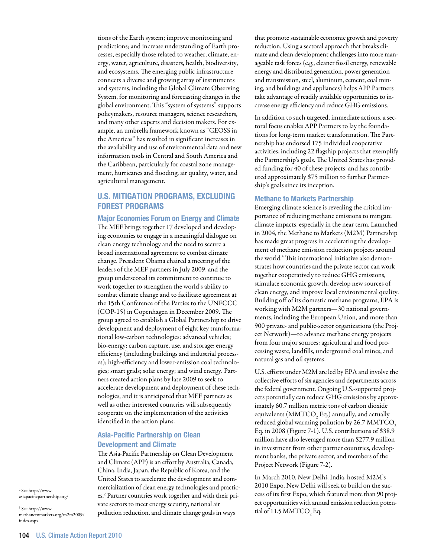tions of the Earth system; improve monitoring and predictions; and increase understanding of Earth processes, especially those related to weather, climate, energy, water, agriculture, disasters, health, biodiversity, and ecosystems. The emerging public infrastructure connects a diverse and growing array of instruments and systems, including the Global Climate Observing System, for monitoring and forecasting changes in the global environment. This "system of systems" supports policymakers, resource managers, science researchers, and many other experts and decision makers. For example, an umbrella framework known as "GEOSS in the Americas" has resulted in significant increases in the availability and use of environmental data and new information tools in Central and South America and the Caribbean, particularly for coastal zone management, hurricanes and flooding, air quality, water, and agricultural management.

# U.S. Mitigation Programs, Excluding Forest Programs

#### Major Economies Forum on Energy and Climate

The MEF brings together 17 developed and developing economies to engage in a meaningful dialogue on clean energy technology and the need to secure a broad international agreement to combat climate change. President Obama chaired a meeting of the leaders of the MEF partners in July 2009, and the group underscored its commitment to continue to work together to strengthen the world's ability to combat climate change and to facilitate agreement at the 15th Conference of the Parties to the UNFCCC (COP-15) in Copenhagen in December 2009. The group agreed to establish a Global Partnership to drive development and deployment of eight key transformational low-carbon technologies: advanced vehicles; bio-energy; carbon capture, use, and storage; energy efficiency (including buildings and industrial processes); high-efficiency and lower-emission coal technologies; smart grids; solar energy; and wind energy. Partners created action plans by late 2009 to seek to accelerate development and deployment of these technologies, and it is anticipated that MEF partners as well as other interested countries will subsequently cooperate on the implementation of the activities identified in the action plans.

## Asia-Pacific Partnership on Clean Development and Climate

The Asia-Pacific Partnership on Clean Development and Climate (APP) is an effort by Australia, Canada, China, India, Japan, the Republic of Korea, and the United States to accelerate the development and commercialization of clean energy technologies and practices.2 Partner countries work together and with their private sectors to meet energy security, national air pollution reduction, and climate change goals in ways

that promote sustainable economic growth and poverty reduction. Using a sectoral approach that breaks climate and clean development challenges into more manageable task forces (e.g., cleaner fossil energy, renewable energy and distributed generation, power generation and transmission, steel, aluminum, cement, coal mining, and buildings and appliances) helps APP Partners take advantage of readily available opportunities to increase energy efficiency and reduce GHG emissions.

In addition to such targeted, immediate actions, a sectoral focus enables APP Partners to lay the foundations for long-term market transformation. The Partnership has endorsed 175 individual cooperative activities, including 22 flagship projects that exemplify the Partnership's goals. The United States has provided funding for 40 of these projects, and has contributed approximately \$75 million to further Partnership's goals since its inception.

#### Methane to Markets Partnership

Emerging climate science is revealing the critical importance of reducing methane emissions to mitigate climate impacts, especially in the near term. Launched in 2004, the Methane to Markets (M2M) Partnership has made great progress in accelerating the development of methane emission reduction projects around the world.3 This international initiative also demonstrates how countries and the private sector can work together cooperatively to reduce GHG emissions, stimulate economic growth, develop new sources of clean energy, and improve local environmental quality. Building off of its domestic methane programs, EPA is working with M2M partners—30 national governments, including the European Union, and more than 900 private- and public-sector organizations (the Project Network)—to advance methane energy projects from four major sources: agricultural and food processing waste, landfills, underground coal mines, and natural gas and oil systems.

U.S. efforts under M2M are led by EPA and involve the collective efforts of six agencies and departments across the federal government. Ongoing U.S.-supported projects potentially can reduce GHG emissions by approximately 60.7 million metric tons of carbon dioxide equivalents (MMTCO<sub>2</sub> Eq.) annually, and actually reduced global warming pollution by 26.7 MMTCO<sub>2</sub> Eq. in 2008 (Figure 7-1). U.S. contributions of \$38.9 million have also leveraged more than \$277.9 million in investment from other partner countries, development banks, the private sector, and members of the Project Network (Figure 7-2).

In March 2010, New Delhi, India, hosted M2M's 2010 Expo. New Delhi will seek to build on the success of its first Expo, which featured more than 90 project opportunities with annual emission reduction potential of 11.5 MMTCO<sub>2</sub> Eq.

2 See http://www. asiapacificpartnership.org/.

3 See http://www. methanetomarkets.org/m2m2009/ index.aspx.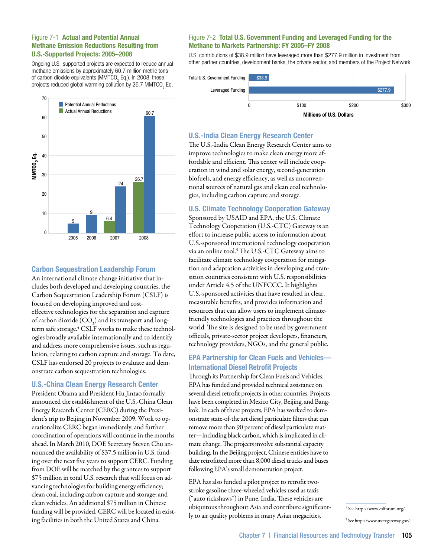### Figure 7-1 Actual and Potential Annual Methane Emission Reductions Resulting from U.S.-Supported Projects: 2005–2008

Ongoing U.S.-supported projects are expected to reduce annual methane emissions by approximately 60.7 million metric tons of carbon dioxide equivalents (MMTCO<sub>2</sub> Eq.). In 2008, these projects reduced global warming pollution by 26.7 MMTCO<sub>2</sub> Eq.



## Carbon Sequestration Leadership Forum

An international climate change initiative that includes both developed and developing countries, the Carbon Sequestration Leadership Forum (CSLF) is focused on developing improved and costeffective technologies for the separation and capture of carbon dioxide  $\left({\rm CO}_{2}\right)$  and its transport and longterm safe storage.4 CSLF works to make these technologies broadly available internationally and to identify and address more comprehensive issues, such as regulation, relating to carbon capture and storage. To date, CSLF has endorsed 20 projects to evaluate and demonstrate carbon sequestration technologies.

## U.S.-China Clean Energy Research Center

President Obama and President Hu Jintao formally announced the establishment of the U.S.-China Clean Energy Research Center (CERC) during the President's trip to Beijing in November 2009. Work to operationalize CERC began immediately, and further coordination of operations will continue in the months ahead. In March 2010, DOE Secretary Steven Chu announced the availability of \$37.5 million in U.S. funding over the next five years to support CERC. Funding from DOE will be matched by the grantees to support \$75 million in total U.S. research that will focus on advancing technologies for building energy efficiency; clean coal, including carbon capture and storage; and clean vehicles. An additional \$75 million in Chinese funding will be provided. CERC will be located in existing facilities in both the United States and China.

## Figure 7-2 Total U.S. Government Funding and Leveraged Funding for the Methane to Markets Partnership: FY 2005–FY 2008

U.S. contributions of \$38.9 million have leveraged more than \$277.9 million in investment from other partner countries, development banks, the private sector, and members of the Project Network.



# U.S.-India Clean Energy Research Center

The U.S.-India Clean Energy Research Center aims to improve technologies to make clean energy more affordable and efficient. This center will include cooperation in wind and solar energy, second-generation biofuels, and energy efficiency, as well as unconventional sources of natural gas and clean coal technologies, including carbon capture and storage.

# U.S. Climate Technology Cooperation Gateway

Sponsored by USAID and EPA, the U.S. Climate Technology Cooperation (U.S.-CTC) Gateway is an effort to increase public access to information about U.S.-sponsored international technology cooperation via an online tool.<sup>5</sup> The U.S.-CTC Gateway aims to facilitate climate technology cooperation for mitigation and adaptation activities in developing and transition countries consistent with U.S. responsibilities under Article 4.5 of the UNFCCC. It highlights U.S.-sponsored activities that have resulted in clear, measurable benefits, and provides information and resources that can allow users to implement climatefriendly technologies and practices throughout the world. The site is designed to be used by government officials, private-sector project developers, financiers, technology providers, NGOs, and the general public.

# EPA Partnership for Clean Fuels and Vehicles— International Diesel Retrofit Projects

Through its Partnership for Clean Fuels and Vehicles, EPA has funded and provided technical assistance on several diesel retrofit projects in other countries. Projects have been completed in Mexico City, Beijing, and Bangkok. In each of these projects, EPA has worked to demonstrate state-of-the art diesel particulate filters that can remove more than 90 percent of diesel particulate matter—including black carbon, which is implicated in climate change. The projects involve substantial capacity building. In the Beijing project, Chinese entities have to date retrofitted more than 8,000 diesel trucks and buses following EPA's small demonstration project.

EPA has also funded a pilot project to retrofit twostroke gasoline three-wheeled vehicles used as taxis ("auto rickshaws") in Pune, India. These vehicles are ubiquitous throughout Asia and contribute significantly to air quality problems in many Asian megacities.

<sup>4</sup> See http://www.cslforum.org/.

<sup>5</sup> See http://www.usctcgateway.gov/.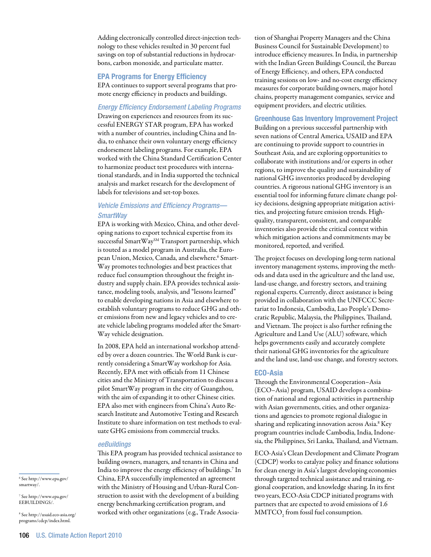Adding electronically controlled direct-injection technology to these vehicles resulted in 30 percent fuel savings on top of substantial reductions in hydrocarbons, carbon monoxide, and particulate matter.

#### EPA Programs for Energy Efficiency

EPA continues to support several programs that promote energy efficiency in products and buildings.

#### *Energy Efficiency Endorsement Labeling Programs*

Drawing on experiences and resources from its successful ENERGY STAR program, EPA has worked with a number of countries, including China and India, to enhance their own voluntary energy efficiency endorsement labeling programs. For example, EPA worked with the China Standard Certification Center to harmonize product test procedures with international standards, and in India supported the technical analysis and market research for the development of labels for televisions and set-top boxes.

## *Vehicle Emissions and Efficiency Programs— SmartWay*

EPA is working with Mexico, China, and other developing nations to export technical expertise from its successful SmartWay<sup>SM</sup> Transport partnership, which is touted as a model program in Australia, the European Union, Mexico, Canada, and elsewhere.<sup>6</sup> Smart-Way promotes technologies and best practices that reduce fuel consumption throughout the freight industry and supply chain. EPA provides technical assistance, modeling tools, analysis, and "lessons learned" to enable developing nations in Asia and elsewhere to establish voluntary programs to reduce GHG and other emissions from new and legacy vehicles and to create vehicle labeling programs modeled after the Smart-Way vehicle designation.

In 2008, EPA held an international workshop attended by over a dozen countries. The World Bank is currently considering a SmartWay workshop for Asia. Recently, EPA met with officials from 11 Chinese cities and the Ministry of Transportation to discuss a pilot SmartWay program in the city of Guangzhou, with the aim of expanding it to other Chinese cities. EPA also met with engineers from China's Auto Research Institute and Automotive Testing and Research Institute to share information on test methods to evaluate GHG emissions from commercial trucks.

#### *eeBuildings*

This EPA program has provided technical assistance to building owners, managers, and tenants in China and India to improve the energy efficiency of buildings.7 In China, EPA successfully implemented an agreement with the Ministry of Housing and Urban-Rural Construction to assist with the development of a building energy benchmarking certification program, and worked with other organizations (e.g., Trade Associa-

tion of Shanghai Property Managers and the China Business Council for Sustainable Development) to introduce efficiency measures. In India, in partnership with the Indian Green Buildings Council, the Bureau of Energy Efficiency, and others, EPA conducted training sessions on low- and no-cost energy efficiency measures for corporate building owners, major hotel chains, property management companies, service and equipment providers, and electric utilities.

#### Greenhouse Gas Inventory Improvement Project

Building on a previous successful partnership with seven nations of Central America, USAID and EPA are continuing to provide support to countries in Southeast Asia, and are exploring opportunities to collaborate with institutions and/or experts in other regions, to improve the quality and sustainability of national GHG inventories produced by developing countries. A rigorous national GHG inventory is an essential tool for informing future climate change policy decisions, designing appropriate mitigation activities, and projecting future emission trends. Highquality, transparent, consistent, and comparable inventories also provide the critical context within which mitigation actions and commitments may be monitored, reported, and verified.

The project focuses on developing long-term national inventory management systems, improving the methods and data used in the agriculture and the land use, land-use change, and forestry sectors, and training regional experts. Currently, direct assistance is being provided in collaboration with the UNFCCC Secretariat to Indonesia, Cambodia, Lao People's Democratic Republic, Malaysia, the Philippines, Thailand, and Vietnam. The project is also further refining the Agriculture and Land Use (ALU) software, which helps governments easily and accurately complete their national GHG inventories for the agriculture and the land use, land-use change, and forestry sectors.

#### ECO-Asia

Through the Environmental Cooperation–Asia (ECO–Asia) program, USAID develops a combination of national and regional activities in partnership with Asian governments, cities, and other organizations and agencies to promote regional dialogue in sharing and replicating innovation across Asia.<sup>8</sup> Key program countries include Cambodia, India, Indonesia, the Philippines, Sri Lanka, Thailand, and Vietnam.

ECO-Asia's Clean Development and Climate Program (CDCP) works to catalyze policy and finance solutions for clean energy in Asia's largest developing economies through targeted technical assistance and training, regional cooperation, and knowledge sharing. In its first two years, ECO-Asia CDCP initiated programs with partners that are expected to avoid emissions of 1.6  $\mathrm{MMTCO}_2$  from fossil fuel consumption.

6 See http://www.epa.gov/ smartway/.

7 See http://www.epa.gov/ EEBUILDINGS/.

8 See http://usaid.eco-asia.org/ programs/cdcp/index.html.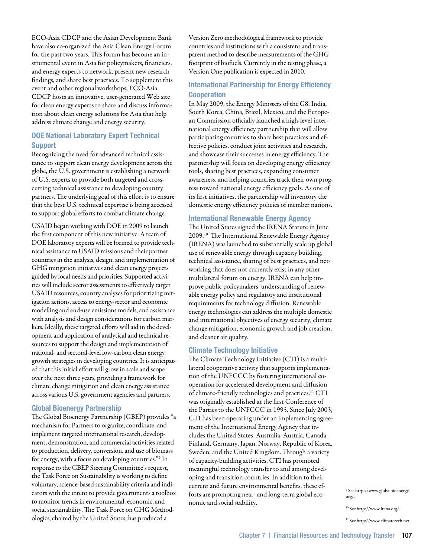ECO-Asia CDCP and the Asian Development Bank have also co-organized the Asia Clean Energy Forum for the past two years. This forum has become an instrumental event in Asia for policymakers, financiers, and energy experts to network, present new research findings, and share best practices. To supplement this event and other regional workshops, ECO-Asia CDCP hosts an innovative, user-generated Web site for clean energy experts to share and discuss information about clean energy solutions for Asia that help address climate change and energy security.

## DOE National Laboratory Expert Technical Support

Recognizing the need for advanced technical assistance to support clean energy development across the globe, the U.S. government is establishing a network of U.S. experts to provide both targeted and crosscutting technical assistance to developing country partners. The underlying goal of this effort is to ensure that the best U.S. technical expertise is being accessed to support global efforts to combat climate change.

USAID began working with DOE in 2009 to launch the first component of this new initiative. A team of DOE laboratory experts will be formed to provide technical assistance to USAID missions and their partner countries in the analysis, design, and implementation of GHG mitigation initiatives and clean energy projects guided by local needs and priorities. Supported activities will include sector assessments to effectively target USAID resources, country analyses for prioritizing mitigation actions, access to energy-sector and economic modelling and end-use emissions models, and assistance with analysis and design considerations for carbon markets. Ideally, these targeted efforts will aid in the development and application of analytical and technical resources to support the design and implementation of national- and sectoral-level low-carbon clean energy growth strategies in developing countries. It is anticipated that this initial effort will grow in scale and scope over the next three years, providing a framework for climate change mitigation and clean energy assistance across various U.S. government agencies and partners.

## Global Bioenergy Partnership

The Global Bioenergy Partnership (GBEP) provides "a mechanism for Partners to organize, coordinate, and implement targeted international research, development, demonstration, and commercial activities related to production, delivery, conversion, and use of biomass for energy, with a focus on developing countries."9 In response to the GBEP Steering Committee's request, the Task Force on Sustainability is working to define voluntary, science-based sustainability criteria and indicators with the intent to provide governments a toolbox to monitor trends in environmental, economic, and social sustainability. The Task Force on GHG Methodologies, chaired by the United States, has produced a

Version Zero methodological framework to provide countries and institutions with a consistent and transparent method to describe measurements of the GHG footprint of biofuels. Currently in the testing phase, a Version One publication is expected in 2010.

## International Partnership for Energy Efficiency **Cooperation**

In May 2009, the Energy Ministers of the G8, India, South Korea, China, Brazil, Mexico, and the European Commission officially launched a high-level international energy efficiency partnership that will allow participating countries to share best practices and effective policies, conduct joint activities and research, and showcase their successes in energy efficiency. The partnership will focus on developing energy efficiency tools, sharing best practices, expanding consumer awareness, and helping countries track their own progress toward national energy efficiency goals. As one of its first initiatives, the partnership will inventory the domestic energy efficiency policies of member nations.

## International Renewable Energy Agency

The United States signed the IRENA Statute in June 2009.10 The International Renewable Energy Agency (IRENA) was launched to substantially scale up global use of renewable energy through capacity building, technical assistance, sharing of best practices, and networking that does not currently exist in any other multilateral forum on energy. IRENA can help improve public policymakers' understanding of renewable energy policy and regulatory and institutional requirements for technology diffusion. Renewable energy technologies can address the multiple domestic and international objectives of energy security, climate change mitigation, economic growth and job creation, and cleaner air quality.

## Climate Technology Initiative

The Climate Technology Initiative (CTI) is a multilateral cooperative activity that supports implementation of the UNFCCC by fostering international cooperation for accelerated development and diffusion of climate-friendly technologies and practices.<sup>11</sup> CTI was originally established at the first Conference of the Parties to the UNFCCC in 1995. Since July 2003, CTI has been operating under an implementing agreement of the International Energy Agency that includes the United States, Australia, Austria, Canada, Finland, Germany, Japan, Norway, Republic of Korea, Sweden, and the United Kingdom. Through a variety of capacity-building activities, CTI has promoted meaningful technology transfer to and among developing and transition countries. In addition to their current and future environmental benefits, these efforts are promoting near- and long-term global economic and social stability.

<sup>9</sup> See http://www.globalbioenergy. org/.

<sup>10</sup> See http://www.irena.org/.

<sup>&</sup>lt;sup>11</sup> See http://www.climatetech.net.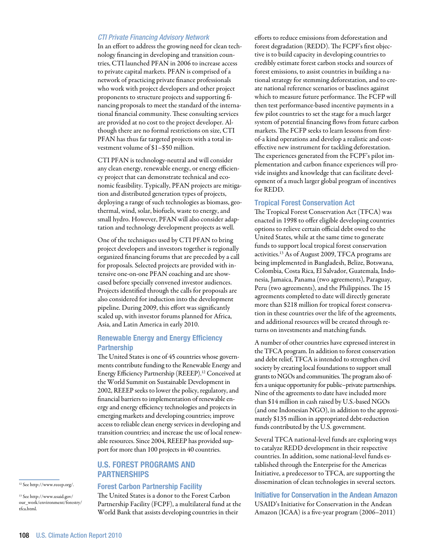#### *CTI Private Financing Advisory Network*

In an effort to address the growing need for clean technology financing in developing and transition countries, CTI launched PFAN in 2006 to increase access to private capital markets. PFAN is comprised of a network of practicing private finance professionals who work with project developers and other project proponents to structure projects and supporting financing proposals to meet the standard of the international financial community. These consulting services are provided at no cost to the project developer. Although there are no formal restrictions on size, CTI PFAN has thus far targeted projects with a total investment volume of \$1–\$50 million.

CTI PFAN is technology-neutral and will consider any clean energy, renewable energy, or energy efficiency project that can demonstrate technical and economic feasibility. Typically, PFAN projects are mitigation and distributed generation types of projects, deploying a range of such technologies as biomass, geothermal, wind, solar, biofuels, waste to energy, and small hydro. However, PFAN will also consider adaptation and technology development projects as well.

One of the techniques used by CTI PFAN to bring project developers and investors together is regionally organized financing forums that are preceded by a call for proposals. Selected projects are provided with intensive one-on-one PFAN coaching and are showcased before specially convened investor audiences. Projects identified through the calls for proposals are also considered for induction into the development pipeline. During 2009, this effort was significantly scaled up, with investor forums planned for Africa, Asia, and Latin America in early 2010.

## Renewable Energy and Energy Efficiency **Partnership**

The United States is one of 45 countries whose governments contribute funding to the Renewable Energy and Energy Efficiency Partnership (REEEP).<sup>12</sup> Conceived at the World Summit on Sustainable Development in 2002, REEEP seeks to lower the policy, regulatory, and financial barriers to implementation of renewable energy and energy efficiency technologies and projects in emerging markets and developing countries; improve access to reliable clean energy services in developing and transition countries; and increase the use of local renewable resources. Since 2004, REEEP has provided support for more than 100 projects in 40 countries.

## U.S. Forest programs and **PARTNERSHIPS**

## Forest Carbon Partnership Facility

13 See http://www.usaid.gov/ our\_work/environment/forestry/ tfca.html.

12 See http://www.reeep.org/.

The United States is a donor to the Forest Carbon Partnership Facility (FCPF), a multilateral fund at the World Bank that assists developing countries in their

efforts to reduce emissions from deforestation and forest degradation (REDD). The FCPF's first objective is to build capacity in developing countries to credibly estimate forest carbon stocks and sources of forest emissions, to assist countries in building a national strategy for stemming deforestation, and to create national reference scenarios or baselines against which to measure future performance. The FCFP will then test performance-based incentive payments in a few pilot countries to set the stage for a much larger system of potential financing flows from future carbon markets. The FCFP seeks to learn lessons from firstof-a kind operations and develop a realistic and costeffective new instrument for tackling deforestation. The experiences generated from the FCPF's pilot implementation and carbon finance experiences will provide insights and knowledge that can facilitate development of a much larger global program of incentives for REDD.

#### Tropical Forest Conservation Act

The Tropical Forest Conservation Act (TFCA) was enacted in 1998 to offer eligible developing countries options to relieve certain official debt owed to the United States, while at the same time to generate funds to support local tropical forest conservation activities.13 As of August 2009, TFCA programs are being implemented in Bangladesh, Belize, Botswana, Colombia, Costa Rica, El Salvador, Guatemala, Indonesia, Jamaica, Panama (two agreements), Paraguay, Peru (two agreements), and the Philippines. The 15 agreements completed to date will directly generate more than \$218 million for tropical forest conservation in these countries over the life of the agreements, and additional resources will be created through returns on investments and matching funds.

A number of other countries have expressed interest in the TFCA program. In addition to forest conservation and debt relief, TFCA is intended to strengthen civil society by creating local foundations to support small grants to NGOs and communities. The program also offers a unique opportunity for public–private partnerships. Nine of the agreements to date have included more than \$14 million in cash raised by U.S.-based NGOs (and one Indonesian NGO), in addition to the approximately \$135 million in appropriated debt-reduction funds contributed by the U.S. government.

Several TFCA national-level funds are exploring ways to catalyze REDD development in their respective countries. In addition, some national-level funds established through the Enterprise for the Americas Initiative, a predecessor to TFCA, are supporting the dissemination of clean technologies in several sectors.

## Initiative for Conservation in the Andean Amazon USAID's Initiative for Conservation in the Andean Amazon (ICAA) is a five-year program (2006–2011)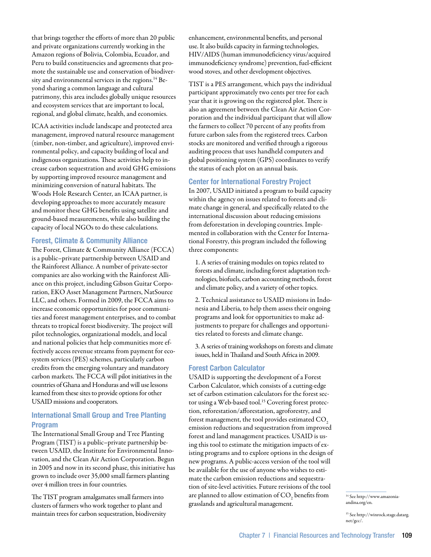that brings together the efforts of more than 20 public and private organizations currently working in the Amazon regions of Bolivia, Colombia, Ecuador, and Peru to build constituencies and agreements that promote the sustainable use and conservation of biodiversity and environmental services in the regions.<sup>14</sup> Beyond sharing a common language and cultural patrimony, this area includes globally unique resources and ecosystem services that are important to local, regional, and global climate, health, and economies.

ICAA activities include landscape and protected area management, improved natural resource management (timber, non-timber, and agriculture), improved environmental policy, and capacity building of local and indigenous organizations. These activities help to increase carbon sequestration and avoid GHG emissions by supporting improved resource management and minimizing conversion of natural habitats. The Woods Hole Research Center, an ICAA partner, is developing approaches to more accurately measure and monitor these GHG benefits using satellite and ground-based measurements, while also building the capacity of local NGOs to do these calculations.

#### Forest, Climate & Community Alliance

The Forest, Climate & Community Alliance (FCCA) is a public–private partnership between USAID and the Rainforest Alliance. A number of private-sector companies are also working with the Rainforest Alliance on this project, including Gibson Guitar Corporation, EKO Asset Management Partners, NatSource LLC, and others. Formed in 2009, the FCCA aims to increase economic opportunities for poor communities and forest management enterprises, and to combat threats to tropical forest biodiversity. The project will pilot technologies, organizational models, and local and national policies that help communities more effectively access revenue streams from payment for ecosystem services (PES) schemes, particularly carbon credits from the emerging voluntary and mandatory carbon markets. The FCCA will pilot initiatives in the countries of Ghana and Honduras and will use lessons learned from these sites to provide options for other USAID missions and cooperators.

## International Small Group and Tree Planting Program

The International Small Group and Tree Planting Program (TIST) is a public–private partnership between USAID, the Institute for Environmental Innovation, and the Clean Air Action Corporation. Begun in 2005 and now in its second phase, this initiative has grown to include over 35,000 small farmers planting over 4 million trees in four countries.

The TIST program amalgamates small farmers into clusters of farmers who work together to plant and maintain trees for carbon sequestration, biodiversity enhancement, environmental benefits, and personal use. It also builds capacity in farming technologies, HIV/AIDS (human immunodeficiency virus/acquired immunodeficiency syndrome) prevention, fuel-efficient wood stoves, and other development objectives.

TIST is a PES arrangement, which pays the individual participant approximately two cents per tree for each year that it is growing on the registered plot. There is also an agreement between the Clean Air Action Corporation and the individual participant that will allow the farmers to collect 70 percent of any profits from future carbon sales from the registered trees. Carbon stocks are monitored and verified through a rigorous auditing process that uses handheld computers and global positioning system (GPS) coordinates to verify the status of each plot on an annual basis.

#### Center for International Forestry Project

In 2007, USAID initiated a program to build capacity within the agency on issues related to forests and climate change in general, and specifically related to the international discussion about reducing emissions from deforestation in developing countries. Implemented in collaboration with the Center for International Forestry, this program included the following three components:

1. A series of training modules on topics related to forests and climate, including forest adaptation technologies, biofuels, carbon accounting methods, forest and climate policy, and a variety of other topics.

2. Technical assistance to USAID missions in Indonesia and Liberia, to help them assess their ongoing programs and look for opportunities to make adjustments to prepare for challenges and opportunities related to forests and climate change.

3. A series of training workshops on forests and climate issues, held in Thailand and South Africa in 2009.

#### Forest Carbon Calculator

USAID is supporting the development of a Forest Carbon Calculator, which consists of a cutting-edge set of carbon estimation calculators for the forest sector using a Web-based tool.<sup>15</sup> Covering forest protection, reforestation/afforestation, agroforestry, and forest management, the tool provides estimated CO<sub>2</sub> emission reductions and sequestration from improved forest and land management practices. USAID is using this tool to estimate the mitigation impacts of existing programs and to explore options in the design of new programs. A public-access version of the tool will be available for the use of anyone who wishes to estimate the carbon emission reductions and sequestration of site-level activities. Future revisions of the tool are planned to allow estimation of  $\mathrm{CO}_2^{}$  benefits from grasslands and agricultural management.

14 See http://www.amazoniaandina.org/en.

15 See http://winrock.stage.datarg. net/gcc/.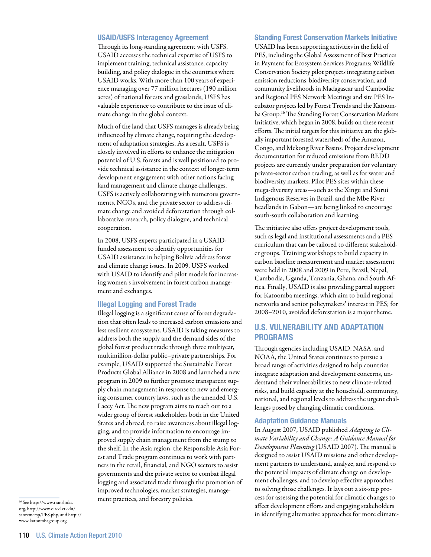#### USAID/USFS Interagency Agreement

Through its long-standing agreement with USFS, USAID accesses the technical expertise of USFS to implement training, technical assistance, capacity building, and policy dialogue in the countries where USAID works. With more than 100 years of experience managing over 77 million hectares (190 million acres) of national forests and grasslands, USFS has valuable experience to contribute to the issue of climate change in the global context.

Much of the land that USFS manages is already being influenced by climate change, requiring the development of adaptation strategies. As a result, USFS is closely involved in efforts to enhance the mitigation potential of U.S. forests and is well positioned to provide technical assistance in the context of longer-term development engagement with other nations facing land management and climate change challenges. USFS is actively collaborating with numerous governments, NGOs, and the private sector to address climate change and avoided deforestation through collaborative research, policy dialogue, and technical cooperation.

In 2008, USFS experts participated in a USAIDfunded assessment to identify opportunities for USAID assistance in helping Bolivia address forest and climate change issues. In 2009, USFS worked with USAID to identify and pilot models for increasing women's involvement in forest carbon management and exchanges.

#### Illegal Logging and Forest Trade

Illegal logging is a significant cause of forest degradation that often leads to increased carbon emissions and less resilient ecosystems. USAID is taking measures to address both the supply and the demand sides of the global forest product trade through three multiyear, multimillion-dollar public–private partnerships. For example, USAID supported the Sustainable Forest Products Global Alliance in 2008 and launched a new program in 2009 to further promote transparent supply chain management in response to new and emerging consumer country laws, such as the amended U.S. Lacey Act. The new program aims to reach out to a wider group of forest stakeholders both in the United States and abroad, to raise awareness about illegal logging, and to provide information to encourage improved supply chain management from the stump to the shelf. In the Asia region, the Responsible Asia Forest and Trade program continues to work with partners in the retail, financial, and NGO sectors to assist governments and the private sector to combat illegal logging and associated trade through the promotion of improved technologies, market strategies, management practices, and forestry policies.

16 See http://www.translinks. org, http://www.oired.vt.edu/ sanremcrsp/PES.php, and http:// www.katoombagroup.org.

#### Standing Forest Conservation Markets Initiative

USAID has been supporting activities in the field of PES, including the Global Assessment of Best Practices in Payment for Ecosystem Services Programs; Wildlife Conservation Society pilot projects integrating carbon emission reductions, biodiversity conservation, and community livelihoods in Madagascar and Cambodia; and Regional PES Network Meetings and site PES Incubator projects led by Forest Trends and the Katoomba Group.16 The Standing Forest Conservation Markets Initiative, which began in 2008, builds on these recent efforts. The initial targets for this initiative are the globally important forested watersheds of the Amazon, Congo, and Mekong River Basins. Project development documentation for reduced emissions from REDD projects are currently under preparation for voluntary private-sector carbon trading, as well as for water and biodiversity markets. Pilot PES sites within these mega-diversity areas—such as the Xingu and Surui Indigenous Reserves in Brazil, and the Mbe River headlands in Gabon—are being linked to encourage south-south collaboration and learning.

The initiative also offers project development tools, such as legal and institutional assessments and a PES curriculum that can be tailored to different stakeholder groups. Training workshops to build capacity in carbon baseline measurement and market assessment were held in 2008 and 2009 in Peru, Brazil, Nepal, Cambodia, Uganda, Tanzania, Ghana, and South Africa. Finally, USAID is also providing partial support for Katoomba meetings, which aim to build regional networks and senior policymakers' interest in PES; for 2008–2010, avoided deforestation is a major theme.

# U.S. Vulnerability and Adaptation **PROGRAMS**

Through agencies including USAID, NASA, and NOAA, the United States continues to pursue a broad range of activities designed to help countries integrate adaptation and development concerns, understand their vulnerabilities to new climate-related risks, and build capacity at the household, community, national, and regional levels to address the urgent challenges posed by changing climatic conditions.

#### Adaptation Guidance Manuals

In August 2007, USAID published *Adapting to Climate Variability and Change: A Guidance Manual for Development Planning* (USAID 2007). The manual is designed to assist USAID missions and other development partners to understand, analyze, and respond to the potential impacts of climate change on development challenges, and to develop effective approaches to solving those challenges. It lays out a six-step process for assessing the potential for climatic changes to affect development efforts and engaging stakeholders in identifying alternative approaches for more climate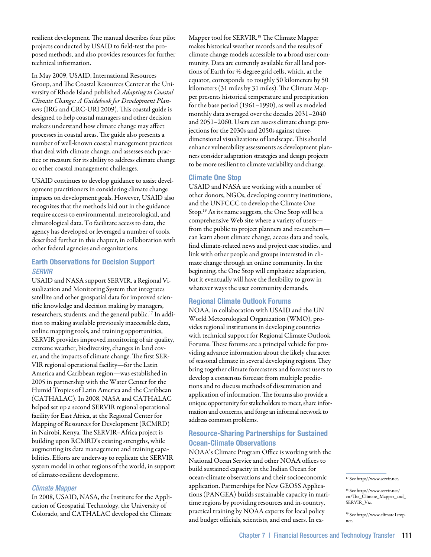resilient development. The manual describes four pilot projects conducted by USAID to field-test the proposed methods, and also provides resources for further technical information.

In May 2009, USAID, International Resources Group, and The Coastal Resources Center at the University of Rhode Island published *Adapting to Coastal Climate Change: A Guidebook for Development Planners* (IRG and CRC-URI 2009). This coastal guide is designed to help coastal managers and other decision makers understand how climate change may affect processes in coastal areas. The guide also presents a number of well-known coastal management practices that deal with climate change, and assesses each practice or measure for its ability to address climate change or other coastal management challenges.

USAID continues to develop guidance to assist development practitioners in considering climate change impacts on development goals. However, USAID also recognizes that the methods laid out in the guidance require access to environmental, meteorological, and climatological data. To facilitate access to data, the agency has developed or leveraged a number of tools, described further in this chapter, in collaboration with other federal agencies and organizations.

## Earth Observations for Decision Support *SERVIR*

USAID and NASA support SERVIR, a Regional Visualization and Monitoring System that integrates satellite and other geospatial data for improved scientific knowledge and decision making by managers, researchers, students, and the general public.17 In addition to making available previously inaccessible data, online mapping tools, and training opportunities, SERVIR provides improved monitoring of air quality, extreme weather, biodiversity, changes in land cover, and the impacts of climate change. The first SER-VIR regional operational facility—for the Latin America and Caribbean region—was established in 2005 in partnership with the Water Center for the Humid Tropics of Latin America and the Caribbean (CATHALAC). In 2008, NASA and CATHALAC helped set up a second SERVIR regional operational facility for East Africa, at the Regional Center for Mapping of Resources for Development (RCMRD) in Nairobi, Kenya. The SERVIR–Africa project is building upon RCMRD's existing strengths, while augmenting its data management and training capabilities. Efforts are underway to replicate the SERVIR system model in other regions of the world, in support of climate-resilient development.

## *Climate Mapper*

In 2008, USAID, NASA, the Institute for the Application of Geospatial Technology, the University of Colorado, and CATHALAC developed the Climate Mapper tool for SERVIR.18 The Climate Mapper makes historical weather records and the results of climate change models accessible to a broad user community. Data are currently available for all land portions of Earth for ½-degree grid cells, which, at the equator, corresponds to roughly 50 kilometers by 50 kilometers (31 miles by 31 miles). The Climate Mapper presents historical temperature and precipitation for the base period (1961–1990), as well as modeled monthly data averaged over the decades 2031–2040 and 2051–2060. Users can assess climate change projections for the 2030s and 2050s against threedimensional visualizations of landscape. This should enhance vulnerability assessments as development planners consider adaptation strategies and design projects to be more resilient to climate variability and change.

## Climate One Stop

USAID and NASA are working with a number of other donors, NGOs, developing country institutions, and the UNFCCC to develop the Climate One Stop.19 As its name suggests, the One Stop will be a comprehensive Web site where a variety of users from the public to project planners and researchers can learn about climate change, access data and tools, find climate-related news and project case studies, and link with other people and groups interested in climate change through an online community. In the beginning, the One Stop will emphasize adaptation, but it eventually will have the flexibility to grow in whatever ways the user community demands.

## Regional Climate Outlook Forums

NOAA, in collaboration with USAID and the UN World Meteorological Organization (WMO), provides regional institutions in developing countries with technical support for Regional Climate Outlook Forums. These forums are a principal vehicle for providing advance information about the likely character of seasonal climate in several developing regions. They bring together climate forecasters and forecast users to develop a consensus forecast from multiple predictions and to discuss methods of dissemination and application of information. The forums also provide a unique opportunity for stakeholders to meet, share information and concerns, and forge an informal network to address common problems.

## Resource-Sharing Partnerships for Sustained Ocean-Climate Observations

NOAA's Climate Program Office is working with the National Ocean Service and other NOAA offices to build sustained capacity in the Indian Ocean for ocean-climate observations and their socioeconomic application. Partnerships for New GEOSS Applications (PANGEA) builds sustainable capacity in maritime regions by providing resources and in-country, practical training by NOAA experts for local policy and budget officials, scientists, and end users. In ex-

<sup>17</sup> See http://www.servir.net.

<sup>18</sup> See http://www.servir.net/ en/The\_Climate\_Mapper\_and\_ SERVIR\_Viz.

<sup>19</sup> See http://www.climate1stop. net.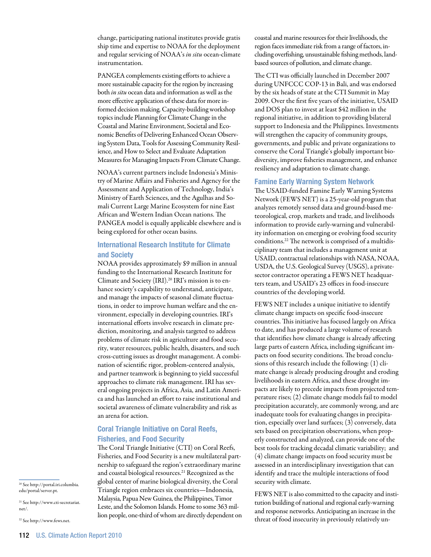change, participating national institutes provide gratis ship time and expertise to NOAA for the deployment and regular servicing of NOAA's *in situ* ocean-climate instrumentation.

PANGEA complements existing efforts to achieve a more sustainable capacity for the region by increasing both *in situ* ocean data and information as well as the more effective application of these data for more informed decision making. Capacity-building workshop topics include Planning for Climate Change in the Coastal and Marine Environment, Societal and Economic Benefits of Delivering Enhanced Ocean Observing System Data, Tools for Assessing Community Resilience, and How to Select and Evaluate Adaptation Measures for Managing Impacts From Climate Change.

NOAA's current partners include Indonesia's Ministry of Marine Affairs and Fisheries and Agency for the Assessment and Application of Technology, India's Ministry of Earth Sciences, and the Agulhas and Somali Current Large Marine Ecosystem for nine East African and Western Indian Ocean nations. The PANGEA model is equally applicable elsewhere and is being explored for other ocean basins.

## International Research Institute for Climate and Society

NOAA provides approximately \$9 million in annual funding to the International Research Institute for Climate and Society (IRI).<sup>20</sup> IRI's mission is to enhance society's capability to understand, anticipate, and manage the impacts of seasonal climate fluctuations, in order to improve human welfare and the environment, especially in developing countries. IRI's international efforts involve research in climate prediction, monitoring, and analysis targeted to address problems of climate risk in agriculture and food security, water resources, public health, disasters, and such cross-cutting issues as drought management. A combination of scientific rigor, problem-centered analysis, and partner teamwork is beginning to yield successful approaches to climate risk management. IRI has several ongoing projects in Africa, Asia, and Latin America and has launched an effort to raise institutional and societal awareness of climate vulnerability and risk as an arena for action.

# Coral Triangle Initiative on Coral Reefs, Fisheries, and Food Security

The Coral Triangle Initiative (CTI) on Coral Reefs, Fisheries, and Food Security is a new multilateral partnership to safeguard the region's extraordinary marine and coastal biological resources.<sup>21</sup> Recognized as the global center of marine biological diversity, the Coral Triangle region embraces six countries—Indonesia, Malaysia, Papua New Guinea, the Philippines, Timor Leste, and the Solomon Islands. Home to some 363 million people, one-third of whom are directly dependent on coastal and marine resources for their livelihoods, the region faces immediate risk from a range of factors, including overfishing, unsustainable fishing methods, landbased sources of pollution, and climate change.

The CTI was officially launched in December 2007 during UNFCCC COP-13 in Bali, and was endorsed by the six heads of state at the CTI Summit in May 2009. Over the first five years of the initiative, USAID and DOS plan to invest at least \$42 million in the regional initiative, in addition to providing bilateral support to Indonesia and the Philippines. Investments will strengthen the capacity of community groups, governments, and public and private organizations to conserve the Coral Triangle's globally important biodiversity, improve fisheries management, and enhance resiliency and adaptation to climate change.

#### Famine Early Warning System Network

The USAID-funded Famine Early Warning Systems Network (FEWS NET) is a 25-year-old program that analyzes remotely sensed data and ground-based meteorological, crop, markets and trade, and livelihoods information to provide early-warning and vulnerability information on emerging or evolving food security conditions.22 The network is comprised of a multidisciplinary team that includes a management unit at USAID, contractual relationships with NASA, NOAA, USDA, the U.S. Geological Survey (USGS), a privatesector contractor operating a FEWS NET headquarters team, and USAID's 23 offices in food-insecure countries of the developing world.

FEWS NET includes a unique initiative to identify climate change impacts on specific food-insecure countries. This initiative has focused largely on Africa to date, and has produced a large volume of research that identifies how climate change is already affecting large parts of eastern Africa, including significant impacts on food security conditions. The broad conclusions of this research include the following: (1) climate change is already producing drought and eroding livelihoods in eastern Africa, and these drought impacts are likely to precede impacts from projected temperature rises; (2) climate change models fail to model precipitation accurately, are commonly wrong, and are inadequate tools for evaluating changes in precipitation, especially over land surfaces; (3) conversely, data sets based on precipitation observations, when properly constructed and analyzed, can provide one of the best tools for tracking decadal climatic variability; and (4) climate change impacts on food security must be assessed in an interdisciplinary investigation that can identify and trace the multiple interactions of food security with climate.

FEWS NET is also committed to the capacity and institution building of national and regional early-warning and response networks. Anticipating an increase in the threat of food insecurity in previously relatively un-

<sup>20</sup> See http://portal.iri.columbia. edu/portal/server.pt.

<sup>21</sup> See http://www.cti-secretariat. net/.

<sup>22</sup> See http://www.fews.net.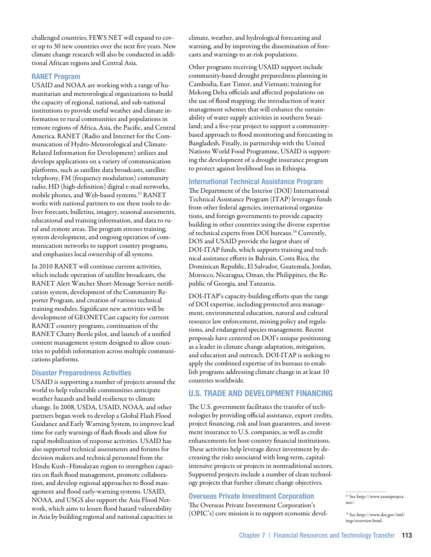challenged countries, FEWS NET will expand to cover up to 30 new countries over the next five years. New climate change research will also be conducted in additional African regions and Central Asia.

#### RANET Program

USAID and NOAA are working with a range of humanitarian and meteorological organizations to build the capacity of regional, national, and sub-national institutions to provide useful weather and climate information to rural communities and populations in remote regions of Africa, Asia, the Pacific, and Central America. RANET (Radio and Internet for the Communication of Hydro-Meteorological and Climate-Related Information for Development) utilizes and develops applications on a variety of communication platforms, such as satellite data broadcasts, satellite telephony, FM (frequency modulation) community radio, HD (high-definition) digital e-mail networks, mobile phones, and Web-based systems.<sup>23</sup> RANET works with national partners to use these tools to deliver forecasts, bulletins, imagery, seasonal assessments, educational and training information, and data to rural and remote areas. The program stresses training, system development, and ongoing operation of communication networks to support country programs, and emphasizes local ownership of all systems.

In 2010 RANET will continue current activities, which include operation of satellite broadcasts, the RANET Alert Watcher Short-Message Service notification system, development of the Community Reporter Program, and creation of various technical training modules. Significant new activities will be development of GEONETCast capacity for current RANET country programs, continuation of the RANET Chatty Beetle pilot, and launch of a unified content management system designed to allow countries to publish information across multiple communications platforms.

## Disaster Preparedness Activities

USAID is supporting a number of projects around the world to help vulnerable communities anticipate weather hazards and build resilience to climate change. In 2008, USDA, USAID, NOAA, and other partners began work to develop a Global Flash Flood Guidance and Early Warning System, to improve lead time for early warnings of flash floods and allow for rapid mobilization of response activities. USAID has also supported technical assessments and forums for decision makers and technical personnel from the Hindu Kush–Himalayan region to strengthen capacities on flash flood management, promote collaboration, and develop regional approaches to flood management and flood early-warning systems. USAID, NOAA, and USGS also support the Asia Flood Network, which aims to lessen flood hazard vulnerability in Asia by building regional and national capacities in

climate, weather, and hydrological forecasting and warning, and by improving the dissemination of forecasts and warnings to at-risk populations.

Other programs receiving USAID support include community-based drought preparedness planning in Cambodia, East Timor, and Vietnam; training for Mekong Delta officials and affected populations on the use of flood mapping; the introduction of water management schemes that will enhance the sustainability of water supply activities in southern Swaziland; and a five-year project to support a communitybased approach to flood monitoring and forecasting in Bangladesh. Finally, in partnership with the United Nations World Food Programme, USAID is supporting the development of a drought insurance program to protect against livelihood loss in Ethiopia.

#### International Technical Assistance Program

The Department of the Interior (DOI) International Technical Assistance Program (ITAP) leverages funds from other federal agencies, international organizations, and foreign governments to provide capacity building in other countries using the diverse expertise of technical experts from DOI bureaus.24 Currently, DOS and USAID provide the largest share of DOI-ITAP funds, which supports training and technical assistance efforts in Bahrain, Costa Rica, the Dominican Republic, El Salvador, Guatemala, Jordan, Morocco, Nicaragua, Oman, the Philippines, the Republic of Georgia, and Tanzania.

DOI-ITAP's capacity-building efforts span the range of DOI expertise, including protected area management, environmental education, natural and cultural resource law enforcement, mining policy and regulations, and endangered species management. Recent proposals have centered on DOI's unique positioning as a leader in climate change adaptation, mitigation, and education and outreach. DOI-ITAP is seeking to apply the combined expertise of its bureaus to establish programs addressing climate change in at least 10 countries worldwide.

## U.S. Trade and Development Financing

The U.S. government facilitates the transfer of technologies by providing official assistance, export credits, project financing, risk and loan guarantees, and investment insurance to U.S. companies, as well as credit enhancements for host-country financial institutions. These activities help leverage direct investment by decreasing the risks associated with long-term, capitalintensive projects or projects in nontraditional sectors. Supported projects include a number of clean technology projects that further climate change objectives.

## Overseas Private Investment Corporation

The Overseas Private Investment Corporation's (OPIC's) core mission is to support economic devel-

23 See http://www.ranetproject. net/.

24 See http://www.doi.gov/intl/ itap/overview.html.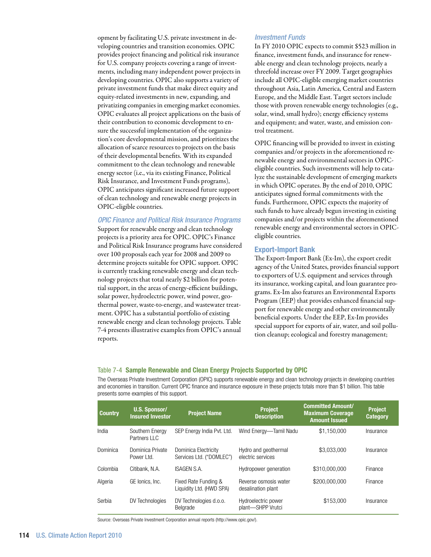opment by facilitating U.S. private investment in developing countries and transition economies. OPIC provides project financing and political risk insurance for U.S. company projects covering a range of investments, including many independent power projects in developing countries. OPIC also supports a variety of private investment funds that make direct equity and equity-related investments in new, expanding, and privatizing companies in emerging market economies. OPIC evaluates all project applications on the basis of their contribution to economic development to ensure the successful implementation of the organization's core developmental mission, and prioritizes the allocation of scarce resources to projects on the basis of their developmental benefits. With its expanded commitment to the clean technology and renewable energy sector (i.e., via its existing Finance, Political Risk Insurance, and Investment Funds programs), OPIC anticipates significant increased future support of clean technology and renewable energy projects in OPIC-eligible countries.

#### *OPIC Finance and Political Risk Insurance Programs*

Support for renewable energy and clean technology projects is a priority area for OPIC. OPIC's Finance and Political Risk Insurance programs have considered over 100 proposals each year for 2008 and 2009 to determine projects suitable for OPIC support. OPIC is currently tracking renewable energy and clean technology projects that total nearly \$2 billion for potential support, in the areas of energy-efficient buildings, solar power, hydroelectric power, wind power, geothermal power, waste-to-energy, and wastewater treatment. OPIC has a substantial portfolio of existing renewable energy and clean technology projects. Table 7-4 presents illustrative examples from OPIC's annual reports.

#### *Investment Funds*

In FY 2010 OPIC expects to commit \$523 million in finance, investment funds, and insurance for renewable energy and clean technology projects, nearly a threefold increase over FY 2009. Target geographies include all OPIC-eligible emerging market countries throughout Asia, Latin America, Central and Eastern Europe, and the Middle East. Target sectors include those with proven renewable energy technologies (e.g., solar, wind, small hydro); energy efficiency systems and equipment; and water, waste, and emission control treatment.

OPIC financing will be provided to invest in existing companies and/or projects in the aforementioned renewable energy and environmental sectors in OPICeligible countries. Such investments will help to catalyze the sustainable development of emerging markets in which OPIC operates. By the end of 2010, OPIC anticipates signed formal commitments with the funds. Furthermore, OPIC expects the majority of such funds to have already begun investing in existing companies and/or projects within the aforementioned renewable energy and environmental sectors in OPICeligible countries.

#### Export-Import Bank

The Export-Import Bank (Ex-Im), the export credit agency of the United States, provides financial support to exporters of U.S. equipment and services through its insurance, working capital, and loan guarantee programs. Ex-Im also features an Environmental Exports Program (EEP) that provides enhanced financial support for renewable energy and other environmentally beneficial exports. Under the EEP, Ex-Im provides special support for exports of air, water, and soil pollution cleanup; ecological and forestry management;

#### Table 7-4 Sample Renewable and Clean Energy Projects Supported by OPIC

The Overseas Private Investment Corporation (OPIC) supports renewable energy and clean technology projects in developing countries and economies in transition. Current OPIC finance and insurance exposure in these projects totals more than \$1 billion. This table presents some examples of this support.

| <b>Country</b> | <b>U.S. Sponsor/</b><br><b>Insured Investor</b> | <b>Project Name</b>                              | <b>Project</b><br><b>Description</b>        | <b>Committed Amount/</b><br><b>Maximum Coverage</b><br><b>Amount Issued</b> | <b>Project</b><br><b>Category</b> |
|----------------|-------------------------------------------------|--------------------------------------------------|---------------------------------------------|-----------------------------------------------------------------------------|-----------------------------------|
| India          | Southern Energy<br>Partners LLC                 | SEP Energy India Pvt. Ltd.                       | Wind Energy-Tamil Nadu                      | \$1,150,000                                                                 | Insurance                         |
| Dominica       | Dominica Private<br>Power Ltd.                  | Dominica Electricity<br>Services Ltd. ("DOMLEC") | Hydro and geothermal<br>electric services   | \$3,033,000                                                                 | Insurance                         |
| Colombia       | Citibank, N.A.                                  | <b>ISAGEN S.A.</b>                               | Hydropower generation                       | \$310,000,000                                                               | Finance                           |
| Algeria        | GE Ionics, Inc.                                 | Fixed Rate Funding &<br>Liguidity Ltd. (HWD SPA) | Reverse osmosis water<br>desalination plant | \$200,000,000                                                               | Finance                           |
| Serbia         | DV Technologies                                 | DV Technologies d.o.o.<br>Belgrade               | Hydroelectric power<br>plant-SHPP Vrutci    | \$153,000                                                                   | Insurance                         |

Source: Overseas Private Investment Corporation annual reports (http://www.opic.gov/).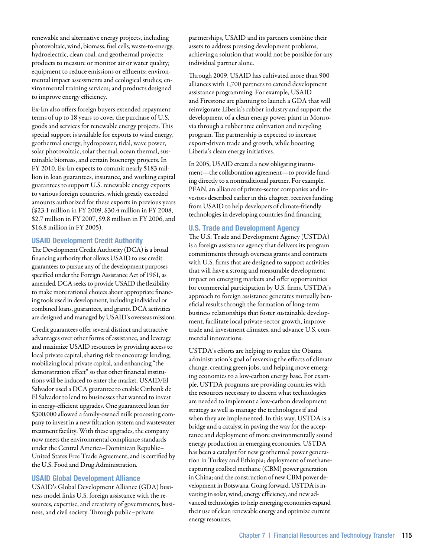renewable and alternative energy projects, including photovoltaic, wind, biomass, fuel cells, waste-to-energy, hydroelectric, clean coal, and geothermal projects; products to measure or monitor air or water quality; equipment to reduce emissions or effluents; environmental impact assessments and ecological studies; environmental training services; and products designed to improve energy efficiency.

Ex-Im also offers foreign buyers extended repayment terms of up to 18 years to cover the purchase of U.S. goods and services for renewable energy projects. This special support is available for exports to wind energy, geothermal energy, hydropower, tidal, wave power, solar photovoltaic, solar thermal, ocean thermal, sustainable biomass, and certain bioenergy projects. In FY 2010, Ex-Im expects to commit nearly \$183 million in loan guarantees, insurance, and working capital guarantees to support U.S. renewable energy exports to various foreign countries, which greatly exceeded amounts authorized for these exports in previous years (\$23.1 million in FY 2009, \$30.4 million in FY 2008, \$2.7 million in FY 2007, \$9.8 million in FY 2006, and \$16.8 million in FY 2005).

## USAID Development Credit Authority

The Development Credit Authority (DCA) is a broad financing authority that allows USAID to use credit guarantees to pursue any of the development purposes specified under the Foreign Assistance Act of 1961, as amended. DCA seeks to provide USAID the flexibility to make more rational choices about appropriate financing tools used in development, including individual or combined loans, guarantees, and grants. DCA activities are designed and managed by USAID's overseas missions.

Credit guarantees offer several distinct and attractive advantages over other forms of assistance, and leverage and maximize USAID resources by providing access to local private capital, sharing risk to encourage lending, mobilizing local private capital, and enhancing "the demonstration effect" so that other financial institutions will be induced to enter the market. USAID/El Salvador used a DCA guarantee to enable Citibank de El Salvador to lend to businesses that wanted to invest in energy-efficient upgrades. One guaranteed loan for \$300,000 allowed a family-owned milk processing company to invest in a new filtration system and wastewater treatment facility. With these upgrades, the company now meets the environmental compliance standards under the Central America–Dominican Republic– United States Free Trade Agreement, and is certified by the U.S. Food and Drug Administration.

#### USAID Global Development Alliance

USAID's Global Development Alliance (GDA) business model links U.S. foreign assistance with the resources, expertise, and creativity of governments, business, and civil society. Through public–private

partnerships, USAID and its partners combine their assets to address pressing development problems, achieving a solution that would not be possible for any individual partner alone.

Through 2009, USAID has cultivated more than 900 alliances with 1,700 partners to extend development assistance programming. For example, USAID and Firestone are planning to launch a GDA that will reinvigorate Liberia's rubber industry and support the development of a clean energy power plant in Monrovia through a rubber tree cultivation and recycling program. The partnership is expected to increase export-driven trade and growth, while boosting Liberia's clean energy initiatives.

In 2005, USAID created a new obligating instrument—the collaboration agreement—to provide funding directly to a nontraditional partner. For example, PFAN, an alliance of private-sector companies and investors described earlier in this chapter, receives funding from USAID to help developers of climate-friendly technologies in developing countries find financing.

#### U.S. Trade and Development Agency

The U.S. Trade and Development Agency (USTDA) is a foreign assistance agency that delivers its program commitments through overseas grants and contracts with U.S. firms that are designed to support activities that will have a strong and measurable development impact on emerging markets and offer opportunities for commercial participation by U.S. firms. USTDA's approach to foreign assistance generates mutually beneficial results through the formation of long-term business relationships that foster sustainable development, facilitate local private-sector growth, improve trade and investment climates, and advance U.S. commercial innovations.

USTDA's efforts are helping to realize the Obama administration's goal of reversing the effects of climate change, creating green jobs, and helping move emerging economies to a low-carbon energy base. For example, USTDA programs are providing countries with the resources necessary to discern what technologies are needed to implement a low-carbon development strategy as well as manage the technologies if and when they are implemented. In this way, USTDA is a bridge and a catalyst in paving the way for the acceptance and deployment of more environmentally sound energy production in emerging economies. USTDA has been a catalyst for new geothermal power generation in Turkey and Ethiopia; deployment of methanecapturing coalbed methane (CBM) power generation in China; and the construction of new CBM power development in Botswana. Going forward, USTDA is investing in solar, wind, energy efficiency, and new advanced technologies to help emerging economies expand their use of clean renewable energy and optimize current energy resources.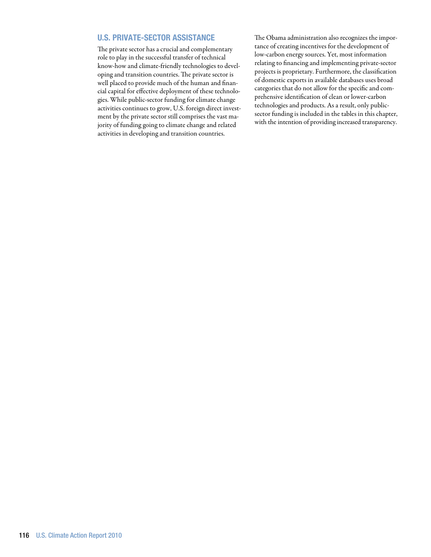## u.s. Private-Sector Assistance

The private sector has a crucial and complementary role to play in the successful transfer of technical know-how and climate-friendly technologies to developing and transition countries. The private sector is well placed to provide much of the human and financial capital for effective deployment of these technologies. While public-sector funding for climate change activities continues to grow, U.S. foreign direct investment by the private sector still comprises the vast majority of funding going to climate change and related activities in developing and transition countries.

The Obama administration also recognizes the importance of creating incentives for the development of low-carbon energy sources. Yet, most information relating to financing and implementing private-sector projects is proprietary. Furthermore, the classification of domestic exports in available databases uses broad categories that do not allow for the specific and comprehensive identification of clean or lower-carbon technologies and products. As a result, only publicsector funding is included in the tables in this chapter, with the intention of providing increased transparency.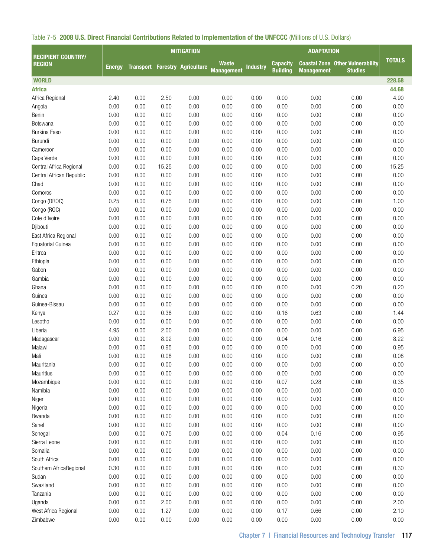|                                            |               |                  |       | <b>MITIGATION</b>           |                                   |                 |                                    |                   |                                                           |               |
|--------------------------------------------|---------------|------------------|-------|-----------------------------|-----------------------------------|-----------------|------------------------------------|-------------------|-----------------------------------------------------------|---------------|
| <b>RECIPIENT COUNTRY/</b><br><b>REGION</b> | <b>Energy</b> | <b>Transport</b> |       | <b>Forestry Agriculture</b> | <b>Waste</b><br><b>Management</b> | <b>Industry</b> | <b>Capacity</b><br><b>Building</b> | <b>Management</b> | <b>Coastal Zone Other Vulnerability</b><br><b>Studies</b> | <b>TOTALS</b> |
| <b>WORLD</b>                               |               |                  |       |                             |                                   |                 |                                    |                   |                                                           | 228.58        |
| <b>Africa</b>                              |               |                  |       |                             |                                   |                 |                                    |                   |                                                           | 44.68         |
| Africa Regional                            | 2.40          | 0.00             | 2.50  | 0.00                        | 0.00                              | 0.00            | 0.00                               | 0.00              | 0.00                                                      | 4.90          |
| Angola                                     | 0.00          | 0.00             | 0.00  | 0.00                        | 0.00                              | 0.00            | 0.00                               | 0.00              | 0.00                                                      | 0.00          |
| Benin                                      | 0.00          | 0.00             | 0.00  | 0.00                        | 0.00                              | 0.00            | 0.00                               | 0.00              | 0.00                                                      | 0.00          |
| Botswana                                   | 0.00          | 0.00             | 0.00  | 0.00                        | 0.00                              | 0.00            | 0.00                               | 0.00              | 0.00                                                      | 0.00          |
| <b>Burkina Faso</b>                        | 0.00          | 0.00             | 0.00  | 0.00                        | 0.00                              | 0.00            | 0.00                               | 0.00              | 0.00                                                      | 0.00          |
| Burundi                                    | 0.00          | 0.00             | 0.00  | 0.00                        | 0.00                              | 0.00            | 0.00                               | 0.00              | 0.00                                                      | 0.00          |
| Cameroon                                   | 0.00          | 0.00             | 0.00  | 0.00                        | 0.00                              | 0.00            | 0.00                               | 0.00              | 0.00                                                      | 0.00          |
| Cape Verde                                 | 0.00          | 0.00             | 0.00  | 0.00                        | 0.00                              | 0.00            | 0.00                               | 0.00              | 0.00                                                      | 0.00          |
| Central Africa Regional                    | 0.00          | 0.00             | 15.25 | 0.00                        | 0.00                              | 0.00            | 0.00                               | 0.00              | 0.00                                                      | 15.25         |
| Central African Republic                   | 0.00          | 0.00             | 0.00  | 0.00                        | 0.00                              | 0.00            | 0.00                               | 0.00              | 0.00                                                      | 0.00          |
| Chad                                       | 0.00          | 0.00             | 0.00  | 0.00                        | 0.00                              | 0.00            | 0.00                               | 0.00              | 0.00                                                      | 0.00          |
| Comoros                                    | 0.00          | 0.00             | 0.00  | 0.00                        | 0.00                              | 0.00            | 0.00                               | 0.00              | 0.00                                                      | 0.00          |
| Congo (DROC)                               | 0.25          | 0.00             | 0.75  | 0.00                        | 0.00                              | 0.00            | 0.00                               | 0.00              | 0.00                                                      | 1.00          |
| Congo (ROC)                                | 0.00          | 0.00             | 0.00  | 0.00                        | 0.00                              | 0.00            | 0.00                               | 0.00              | 0.00                                                      | 0.00          |
| Cote d'Ivoire                              | 0.00          | 0.00             | 0.00  | 0.00                        | 0.00                              | 0.00            | 0.00                               | 0.00              | 0.00                                                      | 0.00          |
| Djibouti                                   | 0.00          | 0.00             | 0.00  | 0.00                        | 0.00                              | 0.00            | 0.00                               | 0.00              | 0.00                                                      | 0.00          |
| East Africa Regional                       | 0.00          | 0.00             | 0.00  | 0.00                        | 0.00                              | 0.00            | 0.00                               | 0.00              | 0.00                                                      | 0.00          |
| <b>Equatorial Guinea</b>                   | 0.00          | 0.00             | 0.00  | 0.00                        | 0.00                              | 0.00            | 0.00                               | 0.00              | 0.00                                                      | 0.00          |
|                                            | 0.00          | 0.00             | 0.00  |                             | 0.00                              | 0.00            | 0.00                               |                   |                                                           | 0.00          |
| Eritrea                                    |               | 0.00             | 0.00  | 0.00                        |                                   | 0.00            | 0.00                               | 0.00              | 0.00                                                      | 0.00          |
| Ethiopia                                   | 0.00          |                  |       | 0.00                        | 0.00                              |                 |                                    | 0.00              | 0.00                                                      |               |
| Gabon                                      | 0.00          | 0.00             | 0.00  | 0.00                        | 0.00                              | 0.00            | 0.00                               | 0.00              | 0.00                                                      | 0.00          |
| Gambia                                     | 0.00          | 0.00             | 0.00  | 0.00                        | 0.00                              | 0.00            | 0.00                               | 0.00              | 0.00                                                      | 0.00          |
| Ghana                                      | 0.00          | 0.00             | 0.00  | 0.00                        | 0.00                              | 0.00            | 0.00                               | 0.00              | 0.20                                                      | 0.20          |
| Guinea                                     | 0.00          | 0.00             | 0.00  | 0.00                        | 0.00                              | 0.00            | 0.00                               | 0.00              | 0.00                                                      | 0.00          |
| Guinea-Bissau                              | 0.00          | 0.00             | 0.00  | 0.00                        | 0.00                              | 0.00            | 0.00                               | 0.00              | 0.00                                                      | 0.00          |
| Kenya                                      | 0.27          | 0.00             | 0.38  | 0.00                        | 0.00                              | 0.00            | 0.16                               | 0.63              | 0.00                                                      | 1.44          |
| Lesotho                                    | 0.00          | 0.00             | 0.00  | 0.00                        | 0.00                              | 0.00            | 0.00                               | 0.00              | 0.00                                                      | 0.00          |
| Liberia                                    | 4.95          | 0.00             | 2.00  | 0.00                        | 0.00                              | 0.00            | 0.00                               | 0.00              | 0.00                                                      | 6.95          |
| Madagascar                                 | 0.00          | 0.00             | 8.02  | 0.00                        | 0.00                              | 0.00            | 0.04                               | 0.16              | 0.00                                                      | 8.22          |
| Malawi                                     | 0.00          | 0.00             | 0.95  | 0.00                        | 0.00                              | 0.00            | 0.00                               | 0.00              | 0.00                                                      | 0.95          |
| Mali                                       | 0.00          | 0.00             | 0.08  | 0.00                        | 0.00                              | 0.00            | 0.00                               | 0.00              | 0.00                                                      | 0.08          |
| Mauritania                                 | 0.00          | 0.00             | 0.00  | 0.00                        | 0.00                              | 0.00            | 0.00                               | 0.00              | 0.00                                                      | 0.00          |
| Mauritius                                  | 0.00          | 0.00             | 0.00  | 0.00                        | 0.00                              | 0.00            | 0.00                               | 0.00              | 0.00                                                      | 0.00          |
| Mozambique                                 | 0.00          | 0.00             | 0.00  | 0.00                        | 0.00                              | 0.00            | 0.07                               | 0.28              | 0.00                                                      | 0.35          |
| Namibia                                    | 0.00          | 0.00             | 0.00  | 0.00                        | 0.00                              | 0.00            | 0.00                               | 0.00              | 0.00                                                      | 0.00          |
| Niger                                      | 0.00          | 0.00             | 0.00  | 0.00                        | 0.00                              | 0.00            | 0.00                               | 0.00              | 0.00                                                      | 0.00          |
| Nigeria                                    | 0.00          | 0.00             | 0.00  | 0.00                        | 0.00                              | 0.00            | 0.00                               | 0.00              | 0.00                                                      | 0.00          |
| Rwanda                                     | 0.00          | 0.00             | 0.00  | 0.00                        | 0.00                              | 0.00            | 0.00                               | 0.00              | 0.00                                                      | 0.00          |
| Sahel                                      | 0.00          | 0.00             | 0.00  | 0.00                        | 0.00                              | 0.00            | 0.00                               | 0.00              | 0.00                                                      | 0.00          |
| Senegal                                    | 0.00          | 0.00             | 0.75  | 0.00                        | 0.00                              | 0.00            | 0.04                               | 0.16              | 0.00                                                      | 0.95          |
| Sierra Leone                               | 0.00          | 0.00             | 0.00  | 0.00                        | 0.00                              | 0.00            | 0.00                               | 0.00              | 0.00                                                      | 0.00          |
| Somalia                                    | 0.00          | 0.00             | 0.00  | 0.00                        | 0.00                              | 0.00            | 0.00                               | 0.00              | 0.00                                                      | 0.00          |
| South Africa                               | 0.00          | 0.00             | 0.00  | 0.00                        | 0.00                              | 0.00            | 0.00                               | 0.00              | 0.00                                                      | 0.00          |
| Southern AfricaRegional                    | 0.30          | 0.00             | 0.00  | 0.00                        | 0.00                              | 0.00            | 0.00                               | 0.00              | 0.00                                                      | 0.30          |
| Sudan                                      | 0.00          | 0.00             | 0.00  | 0.00                        | 0.00                              | 0.00            | 0.00                               | 0.00              | 0.00                                                      | 0.00          |
| Swaziland                                  | 0.00          | 0.00             | 0.00  | 0.00                        | 0.00                              | 0.00            | 0.00                               | 0.00              | 0.00                                                      | 0.00          |
| Tanzania                                   | 0.00          | 0.00             | 0.00  | 0.00                        | 0.00                              | 0.00            | 0.00                               | 0.00              | 0.00                                                      | 0.00          |
| Uganda                                     | 0.00          | 0.00             | 2.00  | 0.00                        | 0.00                              | 0.00            | 0.00                               | 0.00              | 0.00                                                      | 2.00          |
| West Africa Regional                       | 0.00          | 0.00             | 1.27  | 0.00                        | 0.00                              | 0.00            | 0.17                               | 0.66              | 0.00                                                      | 2.10          |
| Zimbabwe                                   | 0.00          | 0.00             | 0.00  | 0.00                        | 0.00                              | 0.00            | 0.00                               | 0.00              | 0.00                                                      | 0.00          |

|  | Table 7-5 2008 U.S. Direct Financial Contributions Related to Implementation of the UNFCCC (Millions of U.S. Dollars) |  |  |  |  |  |
|--|-----------------------------------------------------------------------------------------------------------------------|--|--|--|--|--|
|--|-----------------------------------------------------------------------------------------------------------------------|--|--|--|--|--|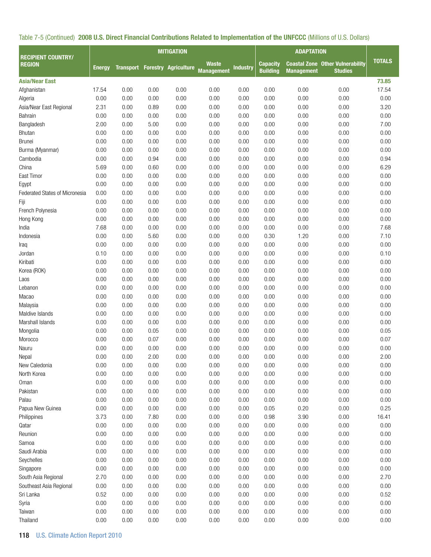|                                            |               |      |      | <b>MITIGATION</b>                     |                   |                 |                 |                   |                                         |               |
|--------------------------------------------|---------------|------|------|---------------------------------------|-------------------|-----------------|-----------------|-------------------|-----------------------------------------|---------------|
| <b>RECIPIENT COUNTRY/</b><br><b>REGION</b> | <b>Energy</b> |      |      | <b>Transport Forestry Agriculture</b> | <b>Waste</b>      | <b>Industry</b> | <b>Capacity</b> |                   | <b>Coastal Zone Other Vulnerability</b> | <b>TOTALS</b> |
|                                            |               |      |      |                                       | <b>Management</b> |                 | <b>Building</b> | <b>Management</b> | <b>Studies</b>                          |               |
| <b>Asia/Near East</b>                      |               |      |      |                                       |                   |                 |                 |                   |                                         | 73.85         |
| Afghanistan                                | 17.54         | 0.00 | 0.00 | 0.00                                  | 0.00              | 0.00            | 0.00            | 0.00              | 0.00                                    | 17.54         |
| Algeria                                    | 0.00          | 0.00 | 0.00 | 0.00                                  | 0.00              | 0.00            | 0.00            | 0.00              | 0.00                                    | 0.00          |
| Asia/Near East Regional                    | 2.31          | 0.00 | 0.89 | 0.00                                  | 0.00              | 0.00            | 0.00            | 0.00              | 0.00                                    | 3.20          |
| Bahrain                                    | 0.00          | 0.00 | 0.00 | 0.00                                  | 0.00              | 0.00            | 0.00            | 0.00              | 0.00                                    | 0.00          |
| Bangladesh                                 | 2.00          | 0.00 | 5.00 | 0.00                                  | 0.00              | 0.00            | 0.00            | 0.00              | 0.00                                    | 7.00          |
| Bhutan                                     | 0.00          | 0.00 | 0.00 | 0.00                                  | 0.00              | 0.00            | 0.00            | 0.00              | 0.00                                    | 0.00          |
| Brunei                                     | 0.00          | 0.00 | 0.00 | 0.00                                  | 0.00              | 0.00            | 0.00            | 0.00              | 0.00                                    | 0.00          |
| Burma (Myanmar)                            | 0.00          | 0.00 | 0.00 | 0.00                                  | 0.00              | 0.00            | 0.00            | 0.00              | 0.00                                    | 0.00          |
| Cambodia                                   | 0.00          | 0.00 | 0.94 | 0.00                                  | 0.00              | 0.00            | 0.00            | 0.00              | 0.00                                    | 0.94          |
| China                                      | 5.69          | 0.00 | 0.60 | 0.00                                  | 0.00              | 0.00            | 0.00            | 0.00              | 0.00                                    | 6.29          |
| East Timor                                 | 0.00          | 0.00 | 0.00 | 0.00                                  | 0.00              | 0.00            | 0.00            | 0.00              | 0.00                                    | 0.00          |
| Egypt                                      | 0.00          | 0.00 | 0.00 | 0.00                                  | 0.00              | 0.00            | 0.00            | 0.00              | 0.00                                    | 0.00          |
| Federated States of Micronesia             | 0.00          | 0.00 | 0.00 | 0.00                                  | 0.00              | 0.00            | 0.00            | 0.00              | 0.00                                    | 0.00          |
| Fiji                                       | 0.00          | 0.00 | 0.00 | 0.00                                  | 0.00              | 0.00            | 0.00            | 0.00              | 0.00                                    | 0.00          |
| French Polynesia                           | 0.00          | 0.00 | 0.00 | 0.00                                  | 0.00              | 0.00            | 0.00            | 0.00              | 0.00                                    | 0.00          |
| Hong Kong                                  | 0.00          | 0.00 | 0.00 | 0.00                                  | 0.00              | 0.00            | 0.00            | 0.00              | 0.00                                    | 0.00          |
| India                                      | 7.68          | 0.00 | 0.00 | 0.00                                  | 0.00              | 0.00            | 0.00            | 0.00              | 0.00                                    | 7.68          |
| Indonesia                                  | 0.00          | 0.00 | 5.60 | 0.00                                  | 0.00              | 0.00            | 0.30            | 1.20              | 0.00                                    | 7.10          |
| Iraq                                       | 0.00          | 0.00 | 0.00 | 0.00                                  | 0.00              | 0.00            | 0.00            | 0.00              | 0.00                                    | 0.00          |
| Jordan                                     | 0.10          | 0.00 | 0.00 | 0.00                                  | 0.00              | 0.00            | 0.00            | 0.00              | 0.00                                    | 0.10          |
| Kiribati                                   | 0.00          | 0.00 | 0.00 | 0.00                                  | 0.00              | 0.00            | 0.00            | 0.00              | 0.00                                    | 0.00          |
| Korea (ROK)                                | 0.00          | 0.00 | 0.00 | 0.00                                  | 0.00              | 0.00            | 0.00            | 0.00              | 0.00                                    | 0.00          |
| Laos                                       | 0.00          | 0.00 | 0.00 | 0.00                                  | 0.00              | 0.00            | 0.00            | 0.00              | 0.00                                    | 0.00          |
| Lebanon                                    | 0.00          | 0.00 | 0.00 | 0.00                                  | 0.00              | 0.00            | 0.00            | 0.00              | 0.00                                    | 0.00          |
| Macao                                      | 0.00          | 0.00 | 0.00 | 0.00                                  | 0.00              | 0.00            | 0.00            | 0.00              | 0.00                                    | 0.00          |
| Malaysia                                   | 0.00          | 0.00 | 0.00 | 0.00                                  | 0.00              | 0.00            | 0.00            | 0.00              | 0.00                                    | 0.00          |
| Maldive Islands                            | 0.00          | 0.00 | 0.00 | 0.00                                  | 0.00              | 0.00            | 0.00            | 0.00              | 0.00                                    | 0.00          |
| Marshall Islands                           | 0.00          | 0.00 | 0.00 | 0.00                                  | 0.00              | 0.00            | 0.00            | 0.00              | 0.00                                    | 0.00          |
| Mongolia                                   | 0.00          | 0.00 | 0.05 | 0.00                                  | 0.00              | 0.00            | 0.00            | 0.00              | 0.00                                    | 0.05          |
| Morocco                                    | 0.00          | 0.00 | 0.07 | 0.00                                  | 0.00              | 0.00            | 0.00            | 0.00              | 0.00                                    | 0.07          |
| Nauru                                      | 0.00          | 0.00 | 0.00 | 0.00                                  | 0.00              | 0.00            | 0.00            | 0.00              | 0.00                                    | 0.00          |
| Nepal                                      | 0.00          | 0.00 | 2.00 | 0.00                                  | 0.00              | 0.00            | 0.00            | 0.00              | 0.00                                    | 2.00          |
| New Caledonia                              | 0.00          | 0.00 | 0.00 | 0.00                                  | 0.00              | 0.00            | 0.00            | 0.00              | 0.00                                    | 0.00          |
| North Korea                                | 0.00          | 0.00 | 0.00 | 0.00                                  | 0.00              | 0.00            | 0.00            | 0.00              | 0.00                                    | 0.00          |
| Oman                                       | 0.00          | 0.00 | 0.00 | 0.00                                  | 0.00              | 0.00            | 0.00            | 0.00              | 0.00                                    | 0.00          |
| Pakistan                                   | 0.00          | 0.00 | 0.00 | 0.00                                  | 0.00              | 0.00            | 0.00            | 0.00              | 0.00                                    | 0.00          |
| Palau                                      | 0.00          | 0.00 | 0.00 | 0.00                                  | 0.00              | 0.00            | 0.00            | 0.00              | 0.00                                    | 0.00          |
| Papua New Guinea                           | 0.00          | 0.00 | 0.00 | 0.00                                  | 0.00              | 0.00            | 0.05            | 0.20              | 0.00                                    | 0.25          |
| Philippines                                | 3.73          | 0.00 | 7.80 | 0.00                                  | 0.00              | 0.00            | 0.98            | 3.90              | 0.00                                    | 16.41         |
| Qatar                                      | 0.00          | 0.00 | 0.00 | 0.00                                  | 0.00              | 0.00            | 0.00            | 0.00              | 0.00                                    | 0.00          |
| Reunion                                    | 0.00          | 0.00 | 0.00 | 0.00                                  | 0.00              | 0.00            | 0.00            | 0.00              | 0.00                                    | 0.00          |
|                                            | 0.00          |      |      |                                       |                   | 0.00            |                 | 0.00              | 0.00                                    | 0.00          |
| Samoa                                      |               | 0.00 | 0.00 | 0.00                                  | 0.00              |                 | 0.00            |                   |                                         |               |
| Saudi Arabia                               | 0.00          | 0.00 | 0.00 | 0.00                                  | 0.00              | 0.00            | 0.00            | 0.00              | 0.00                                    | 0.00          |
| Seychelles                                 | 0.00          | 0.00 | 0.00 | 0.00                                  | 0.00              | 0.00            | 0.00            | 0.00              | 0.00                                    | 0.00          |
| Singapore                                  | 0.00          | 0.00 | 0.00 | 0.00                                  | 0.00              | 0.00            | 0.00            | 0.00              | 0.00                                    | 0.00          |
| South Asia Regional                        | 2.70          | 0.00 | 0.00 | 0.00                                  | 0.00              | 0.00            | 0.00            | 0.00              | 0.00                                    | 2.70          |
| Southeast Asia Regional                    | 0.00          | 0.00 | 0.00 | 0.00                                  | 0.00              | 0.00            | 0.00            | 0.00              | 0.00                                    | 0.00          |
| Sri Lanka                                  | 0.52          | 0.00 | 0.00 | 0.00                                  | 0.00              | 0.00            | 0.00            | 0.00              | 0.00                                    | 0.52          |
| Syria                                      | 0.00          | 0.00 | 0.00 | 0.00                                  | 0.00              | 0.00            | 0.00            | 0.00              | 0.00                                    | 0.00          |
| Taiwan                                     | 0.00          | 0.00 | 0.00 | 0.00                                  | 0.00              | 0.00            | 0.00            | 0.00              | 0.00                                    | 0.00          |
| Thailand                                   | 0.00          | 0.00 | 0.00 | 0.00                                  | 0.00              | 0.00            | 0.00            | 0.00              | 0.00                                    | 0.00          |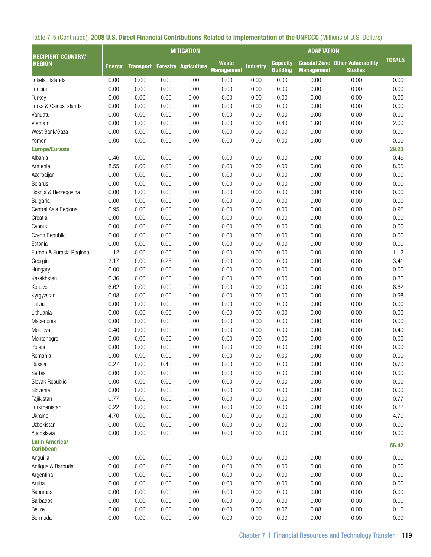|                                            |        |                  |      | <b>MITIGATION</b>           |                                   |                 |                                    |                   |                                                           |               |
|--------------------------------------------|--------|------------------|------|-----------------------------|-----------------------------------|-----------------|------------------------------------|-------------------|-----------------------------------------------------------|---------------|
| <b>RECIPIENT COUNTRY/</b><br><b>REGION</b> | Energy | <b>Transport</b> |      | <b>Forestry Agriculture</b> | <b>Waste</b><br><b>Management</b> | <b>Industry</b> | <b>Capacity</b><br><b>Building</b> | <b>Management</b> | <b>Coastal Zone Other Vulnerability</b><br><b>Studies</b> | <b>TOTALS</b> |
| Tokelau Islands                            | 0.00   | 0.00             | 0.00 | 0.00                        | 0.00                              | 0.00            | 0.00                               | 0.00              | 0.00                                                      | 0.00          |
| Tunisia                                    | 0.00   | 0.00             | 0.00 | 0.00                        | 0.00                              | 0.00            | 0.00                               | 0.00              | 0.00                                                      | 0.00          |
| Turkey                                     | 0.00   | 0.00             | 0.00 | 0.00                        | 0.00                              | 0.00            | 0.00                               | 0.00              | 0.00                                                      | 0.00          |
| Turks & Caicos Islands                     | 0.00   | 0.00             | 0.00 | 0.00                        | 0.00                              | 0.00            | 0.00                               | 0.00              | 0.00                                                      | 0.00          |
| Vanuatu                                    | 0.00   | 0.00             | 0.00 | 0.00                        | 0.00                              | 0.00            | 0.00                               | 0.00              | 0.00                                                      | 0.00          |
| Vietnam                                    | 0.00   | 0.00             | 0.00 | 0.00                        | 0.00                              | 0.00            | 0.40                               | 1.60              | 0.00                                                      | 2.00          |
| West Bank/Gaza                             | 0.00   | 0.00             | 0.00 | 0.00                        | 0.00                              | 0.00            | 0.00                               | 0.00              | 0.00                                                      | 0.00          |
| Yemen                                      | 0.00   | 0.00             | 0.00 | 0.00                        | 0.00                              | 0.00            | 0.00                               | 0.00              | 0.00                                                      | 0.00          |
| <b>Europe/Eurasia</b>                      |        |                  |      |                             |                                   |                 |                                    |                   |                                                           | 29.23         |
| Albania                                    | 0.46   | 0.00             | 0.00 | 0.00                        | 0.00                              | 0.00            | 0.00                               | 0.00              | 0.00                                                      | 0.46          |
| Armenia                                    | 8.55   | 0.00             | 0.00 | 0.00                        | 0.00                              | 0.00            | 0.00                               | 0.00              | 0.00                                                      | 8.55          |
| Azerbaijan                                 | 0.00   | 0.00             | 0.00 | 0.00                        | 0.00                              | 0.00            | 0.00                               | 0.00              | 0.00                                                      | 0.00          |
| <b>Belarus</b>                             | 0.00   | 0.00             | 0.00 | 0.00                        | 0.00                              | 0.00            | 0.00                               | 0.00              | 0.00                                                      | 0.00          |
| Bosnia & Herzegovina                       | 0.00   | 0.00             | 0.00 | 0.00                        | 0.00                              | 0.00            | 0.00                               | 0.00              | 0.00                                                      | 0.00          |
| Bulgaria                                   | 0.00   | 0.00             | 0.00 | 0.00                        | 0.00                              | 0.00            | 0.00                               | 0.00              | 0.00                                                      | 0.00          |
| Central Asia Regional                      | 0.95   | 0.00             | 0.00 | 0.00                        | 0.00                              | 0.00            | 0.00                               | 0.00              | 0.00                                                      | 0.95          |
| Croatia                                    | 0.00   | 0.00             | 0.00 | 0.00                        | 0.00                              | 0.00            | 0.00                               | 0.00              | 0.00                                                      | 0.00          |
| Cyprus                                     | 0.00   | 0.00             | 0.00 | 0.00                        | 0.00                              | 0.00            | 0.00                               | 0.00              | 0.00                                                      | 0.00          |
| Czech Republic                             | 0.00   | 0.00             | 0.00 | 0.00                        | 0.00                              | 0.00            | 0.00                               | 0.00              | 0.00                                                      | 0.00          |
| Estonia                                    | 0.00   | 0.00             | 0.00 | 0.00                        | 0.00                              | 0.00            | 0.00                               | 0.00              | 0.00                                                      | 0.00          |
| Europe & Eurasia Regional                  | 1.12   | 0.00             | 0.00 | 0.00                        | 0.00                              | 0.00            | 0.00                               | 0.00              | 0.00                                                      | 1.12          |
| Georgia                                    | 3.17   | 0.00             | 0.25 | 0.00                        | 0.00                              | 0.00            | 0.00                               | 0.00              | 0.00                                                      | 3.41          |
| Hungary                                    | 0.00   | 0.00             | 0.00 | 0.00                        | 0.00                              | 0.00            | 0.00                               | 0.00              | 0.00                                                      | 0.00          |
| Kazakhstan                                 | 0.36   | 0.00             | 0.00 | 0.00                        | 0.00                              | 0.00            | 0.00                               | 0.00              | 0.00                                                      | 0.36          |
| Kosovo                                     | 6.62   | 0.00             | 0.00 | 0.00                        | 0.00                              | 0.00            | 0.00                               | 0.00              | 0.00                                                      | 6.62          |
| Kyrgyzstan                                 | 0.98   | 0.00             | 0.00 | 0.00                        | 0.00                              | 0.00            | 0.00                               | 0.00              | 0.00                                                      | 0.98          |
| Latvia                                     | 0.00   | 0.00             | 0.00 | 0.00                        | 0.00                              | 0.00            | 0.00                               | 0.00              | 0.00                                                      | 0.00          |
| Lithuania                                  | 0.00   | 0.00             | 0.00 | 0.00                        | 0.00                              | 0.00            | 0.00                               | 0.00              | 0.00                                                      | 0.00          |
| Macedonia                                  | 0.00   | 0.00             | 0.00 | 0.00                        | 0.00                              | 0.00            | 0.00                               | 0.00              | 0.00                                                      | 0.00          |
| Moldova                                    | 0.40   | 0.00             | 0.00 | 0.00                        | 0.00                              | 0.00            | 0.00                               | 0.00              | 0.00                                                      | 0.40          |
| Montenegro                                 | 0.00   | 0.00             | 0.00 | 0.00                        | 0.00                              | 0.00            | 0.00                               | 0.00              | 0.00                                                      | 0.00          |
| Poland                                     | 0.00   | 0.00             | 0.00 | 0.00                        | 0.00                              | 0.00            | 0.00                               | 0.00              | 0.00                                                      | 0.00          |
| Romania                                    | 0.00   | 0.00             | 0.00 | 0.00                        | 0.00                              | 0.00            | 0.00                               | 0.00              | 0.00                                                      | 0.00          |
| Russia                                     | 0.27   | 0.00             | 0.43 | 0.00                        | 0.00                              | 0.00            | 0.00                               | 0.00              | 0.00                                                      | 0.70          |
| Serbia                                     | 0.00   | 0.00             | 0.00 | 0.00                        | 0.00                              | 0.00            | 0.00                               | 0.00              | 0.00                                                      | 0.00          |
| Slovak Republic                            | 0.00   | 0.00             | 0.00 | 0.00                        | 0.00                              | 0.00            | 0.00                               | 0.00              | 0.00                                                      | 0.00          |
| Slovenia                                   | 0.00   | 0.00             | 0.00 | 0.00                        | 0.00                              | 0.00            | 0.00                               | 0.00              | 0.00                                                      | 0.00          |
| Tajikistan                                 | 0.77   | 0.00             | 0.00 | 0.00                        | 0.00                              | 0.00            | 0.00                               | 0.00              | 0.00                                                      | 0.77          |
| Turkmenistan                               | 0.22   | 0.00             | 0.00 | 0.00                        | 0.00                              | 0.00            | 0.00                               | 0.00              | 0.00                                                      | 0.22          |
| Ukraine                                    | 4.70   | 0.00             | 0.00 | 0.00                        | 0.00                              | 0.00            | 0.00                               | 0.00              | 0.00                                                      | 4.70          |
| Uzbekistan                                 | 0.00   | 0.00             | 0.00 | 0.00                        | 0.00                              | 0.00            | 0.00                               | 0.00              | 0.00                                                      | 0.00          |
| Yugoslavia                                 | 0.00   | 0.00             | 0.00 | 0.00                        | 0.00                              | 0.00            | 0.00                               | 0.00              | 0.00                                                      | 0.00          |
| <b>Latin America/</b><br><b>Caribbean</b>  |        |                  |      |                             |                                   |                 |                                    |                   |                                                           | 56.42         |
| Anguilla                                   | 0.00   | 0.00             | 0.00 | 0.00                        | 0.00                              | 0.00            | 0.00                               | 0.00              | 0.00                                                      | 0.00          |
| Antigua & Barbuda                          | 0.00   | 0.00             | 0.00 | 0.00                        | 0.00                              | 0.00            | 0.00                               | 0.00              | 0.00                                                      | 0.00          |
| Argentina                                  | 0.00   | 0.00             | 0.00 | 0.00                        | 0.00                              | 0.00            | 0.00                               | 0.00              | 0.00                                                      | 0.00          |
| Aruba                                      | 0.00   | 0.00             | 0.00 | 0.00                        | 0.00                              | 0.00            | 0.00                               | 0.00              | 0.00                                                      | 0.00          |
| Bahamas                                    | 0.00   | 0.00             | 0.00 | 0.00                        | 0.00                              | 0.00            | 0.00                               | 0.00              | 0.00                                                      | 0.00          |
| Barbados                                   | 0.00   | 0.00             | 0.00 | 0.00                        | 0.00                              | 0.00            | 0.00                               | 0.00              | 0.00                                                      | 0.00          |
| Belize                                     | 0.00   | 0.00             | 0.00 | 0.00                        | 0.00                              | 0.00            | 0.02                               | 0.08              | 0.00                                                      | 0.10          |

Bermuda 0.00 0.00 0.00 0.00 0.00 0.00 0.00 0.00 0.00 0.00

## Table 7-5 (Continued) 2008 U.S. Direct Financial Contributions Related to Implementation of the UNFCCC (Millions of U.S. Dollars)